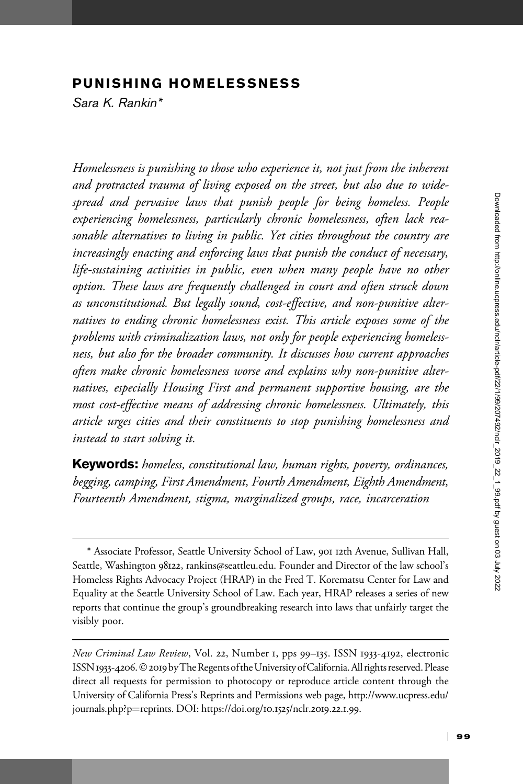# PUNISHING HOMELESSNESS

Sara K. Rankin\*

Homelessness is punishing to those who experience it, not just from the inherent and protracted trauma of living exposed on the street, but also due to widespread and pervasive laws that punish people for being homeless. People experiencing homelessness, particularly chronic homelessness, often lack reasonable alternatives to living in public. Yet cities throughout the country are increasingly enacting and enforcing laws that punish the conduct of necessary, life-sustaining activities in public, even when many people have no other option. These laws are frequently challenged in court and often struck down as unconstitutional. But legally sound, cost-effective, and non-punitive alternatives to ending chronic homelessness exist. This article exposes some of the problems with criminalization laws, not only for people experiencing homelessness, but also for the broader community. It discusses how current approaches often make chronic homelessness worse and explains why non-punitive alternatives, especially Housing First and permanent supportive housing, are the most cost-effective means of addressing chronic homelessness. Ultimately, this article urges cities and their constituents to stop punishing homelessness and instead to start solving it.

Keywords: homeless, constitutional law, human rights, poverty, ordinances, begging, camping, First Amendment, Fourth Amendment, Eighth Amendment, Fourteenth Amendment, stigma, marginalized groups, race, incarceration

<sup>\*</sup> Associate Professor, Seattle University School of Law, 901 12th Avenue, Sullivan Hall, Seattle, Washington 98122, rankins@seattleu.edu. Founder and Director of the law school's Homeless Rights Advocacy Project (HRAP) in the Fred T. Korematsu Center for Law and Equality at the Seattle University School of Law. Each year, HRAP releases a series of new reports that continue the group's groundbreaking research into laws that unfairly target the visibly poor.

New Criminal Law Review, Vol. 22, Number 1, pps 99–135. ISSN 1933-4192, electronic ISSN 1933-4206. © 2019 by The Regents of the University of California. All rights reserved. Please direct all requests for permission to photocopy or reproduce article content through the University of California Press's Reprints and Permissions web page, [http://www.ucpress.edu/](http://www.ucpress.edu/journals.php?p=reprints) [journals.php?p](http://www.ucpress.edu/journals.php?p=reprints)=[reprints](http://www.ucpress.edu/journals.php?p=reprints). [DOI: https://doi.org/](https://doi.org/10.1525/nclr.2019.22.1.99)10.1525/nclr.2019.22.1.99.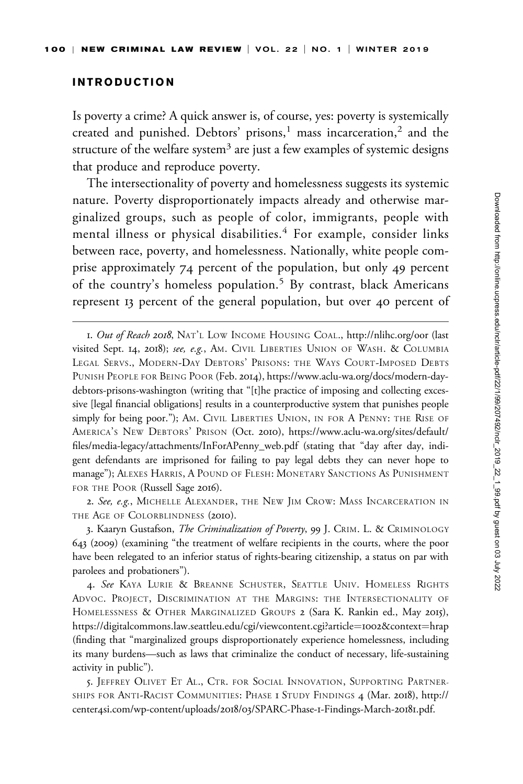### INTRODUCTION

Is poverty a crime? A quick answer is, of course, yes: poverty is systemically created and punished. Debtors' prisons,<sup>1</sup> mass incarceration,<sup>2</sup> and the structure of the welfare system<sup>3</sup> are just a few examples of systemic designs that produce and reproduce poverty.

The intersectionality of poverty and homelessness suggests its systemic nature. Poverty disproportionately impacts already and otherwise marginalized groups, such as people of color, immigrants, people with mental illness or physical disabilities.<sup>4</sup> For example, consider links between race, poverty, and homelessness. Nationally, white people comprise approximately 74 percent of the population, but only 49 percent of the country's homeless population.<sup>5</sup> By contrast, black Americans represent 13 percent of the general population, but over 40 percent of

2. See, e.g., MICHELLE ALEXANDER, THE NEW JIM CROW: MASS INCARCERATION IN THE AGE OF COLORBLINDNESS (2010).

3. Kaaryn Gustafson, The Criminalization of Poverty, 99 J. CRIM. L. & CRIMINOLOGY 643 (2009) (examining "the treatment of welfare recipients in the courts, where the poor have been relegated to an inferior status of rights-bearing citizenship, a status on par with parolees and probationers").

4. See KAYA LURIE & BREANNE SCHUSTER, SEATTLE UNIV. HOMELESS RIGHTS ADVOC. PROJECT, DISCRIMINATION AT THE MARGINS: THE INTERSECTIONALITY OF HOMELESSNESS & OTHER MARGINALIZED GROUPS 2 (Sara K. Rankin ed., May 2015), [https://digitalcommons.law.seattleu.edu/cgi/viewcontent.cgi?article](https://digitalcommons.law.seattleu.edu/cgi/viewcontent.cgi?article=1002&context=hrap)=1002[&context](https://digitalcommons.law.seattleu.edu/cgi/viewcontent.cgi?article=1002&context=hrap)=[hrap](https://digitalcommons.law.seattleu.edu/cgi/viewcontent.cgi?article=1002&context=hrap) (finding that "marginalized groups disproportionately experience homelessness, including its many burdens—such as laws that criminalize the conduct of necessary, life-sustaining activity in public").

5. JEFFREY OLIVET ET AL., CTR. FOR SOCIAL INNOVATION, SUPPORTING PARTNER-SHIPS FOR ANTI-RACIST COMMUNITIES: PHASE 1 STUDY FINDINGS 4 (Mar. 2018), [http://](http://center4si.com/wp-content/uploads/2018/03/SPARC-Phase-1-Findings-March-20181.pdf) center4[si.com/wp-content/uploads/](http://center4si.com/wp-content/uploads/2018/03/SPARC-Phase-1-Findings-March-20181.pdf)2018/03/SPARC-Phase-1-Findings-March-20181.pdf.

<sup>1.</sup> Out of Reach 2018, NAT'L LOW INCOME HOUSING COAL.,<http://nlihc.org/oor> (last visited Sept. 14, 2018); see, e.g., AM. CIVIL LIBERTIES UNION OF WASH. & COLUMBIA LEGAL SERVS., MODERN-DAY DEBTORS' PRISONS: THE WAYS COURT-IMPOSED DEBTS PUNISH PEOPLE FOR BEING POOR (Feb. 2014), [https://www.aclu-wa.org/docs/modern-day](https://www.aclu-wa.org/docs/modern-day-debtors-prisons-washington)[debtors-prisons-washington](https://www.aclu-wa.org/docs/modern-day-debtors-prisons-washington) (writing that "[t]he practice of imposing and collecting excessive [legal financial obligations] results in a counterproductive system that punishes people simply for being poor."); AM. CIVIL LIBERTIES UNION, IN FOR A PENNY: THE RISE OF AMERICA'S NEW DEBTORS' PRISON (Oct. 2010), [https://www.aclu-wa.org/sites/default/](https://www.aclu-wa.org/sites/default/files/media-legacy/attachments/InForAPenny_web.pdf) [files/media-legacy/attachments/InForAPenny\\_web.pdf](https://www.aclu-wa.org/sites/default/files/media-legacy/attachments/InForAPenny_web.pdf) (stating that "day after day, indigent defendants are imprisoned for failing to pay legal debts they can never hope to manage"); ALEXES HARRIS,APOUND OF FLESH: MONETARY SANCTIONS AS PUNISHMENT FOR THE POOR (Russell Sage 2016).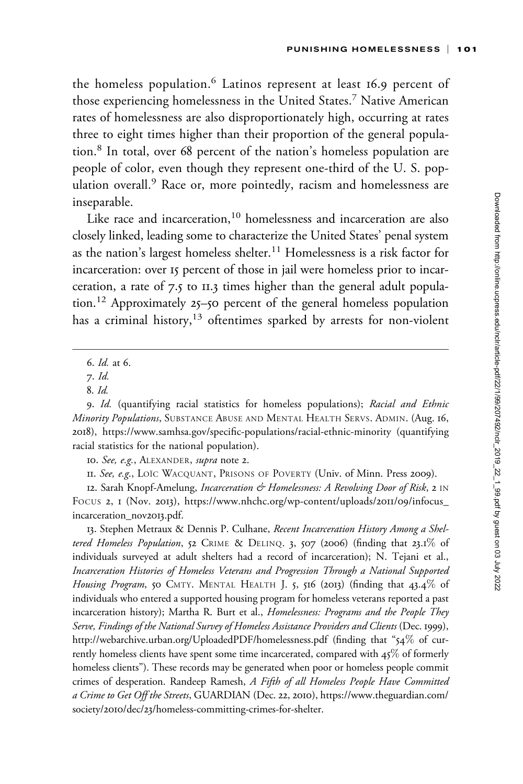the homeless population.<sup>6</sup> Latinos represent at least 16.9 percent of those experiencing homelessness in the United States.<sup>7</sup> Native American rates of homelessness are also disproportionately high, occurring at rates three to eight times higher than their proportion of the general population.<sup>8</sup> In total, over 68 percent of the nation's homeless population are people of color, even though they represent one-third of the U. S. population overall.<sup>9</sup> Race or, more pointedly, racism and homelessness are inseparable.

Like race and incarceration,<sup>10</sup> homelessness and incarceration are also closely linked, leading some to characterize the United States' penal system as the nation's largest homeless shelter.<sup>11</sup> Homelessness is a risk factor for incarceration: over 15 percent of those in jail were homeless prior to incarceration, a rate of 7.5 to 11.3 times higher than the general adult population.<sup>12</sup> Approximately 25–50 percent of the general homeless population has a criminal history, $13$  oftentimes sparked by arrests for non-violent

10. See, e.g., ALEXANDER, supra note 2.

12. Sarah Knopf-Amelung, *Incarceration & Homelessness: A Revolving Door of Risk*, 2 IN FOCUS 2, 1 (Nov. 2013), [https://www.nhchc.org/wp-content/uploads/](https://www.nhchc.org/wp-content/uploads/2011/09/infocus_incarceration_nov2013.pdf)2011/09/infocus\_ [incarceration\\_nov](https://www.nhchc.org/wp-content/uploads/2011/09/infocus_incarceration_nov2013.pdf)2013.pdf.

13. Stephen Metraux & Dennis P. Culhane, Recent Incarceration History Among a Sheltered Homeless Population, 52 CRIME & DELINQ. 3, 507 (2006) (finding that 23.1% of individuals surveyed at adult shelters had a record of incarceration); N. Tejani et al., Incarceration Histories of Homeless Veterans and Progression Through a National Supported Housing Program, 50 CMTY. MENTAL HEALTH J. 5, 516 (2013) (finding that 43.4% of individuals who entered a supported housing program for homeless veterans reported a past incarceration history); Martha R. Burt et al., Homelessness: Programs and the People They Serve, Findings of the National Survey of Homeless Assistance Providers and Clients (Dec. 1999), <http://webarchive.urban.org/UploadedPDF/homelessness.pdf> (finding that "54% of currently homeless clients have spent some time incarcerated, compared with  $45\%$  of formerly homeless clients"). These records may be generated when poor or homeless people commit crimes of desperation. Randeep Ramesh, A Fifth of all Homeless People Have Committed a Crime to Get Off the Streets, GUARDIAN (Dec. 22, 2010), [https://www.theguardian.com/](https://www.theguardian.com/society/2010/dec/23/homeless-committing-crimes-for-shelter) society/2010/dec/23[/homeless-committing-crimes-for-shelter.](https://www.theguardian.com/society/2010/dec/23/homeless-committing-crimes-for-shelter)

<sup>6.</sup> Id. at 6.

<sup>7.</sup> Id.

<sup>8.</sup> Id.

<sup>9.</sup> Id. (quantifying racial statistics for homeless populations); Racial and Ethnic Minority Populations, SUBSTANCE ABUSE AND MENTAL HEALTH SERVS. ADMIN. (Aug. 16, 2018),<https://www.samhsa.gov/specific-populations/racial-ethnic-minority> (quantifying racial statistics for the national population).

<sup>11.</sup> See, e.g., LOIC WACQUANT, PRISONS OF POVERTY (Univ. of Minn. Press 2009).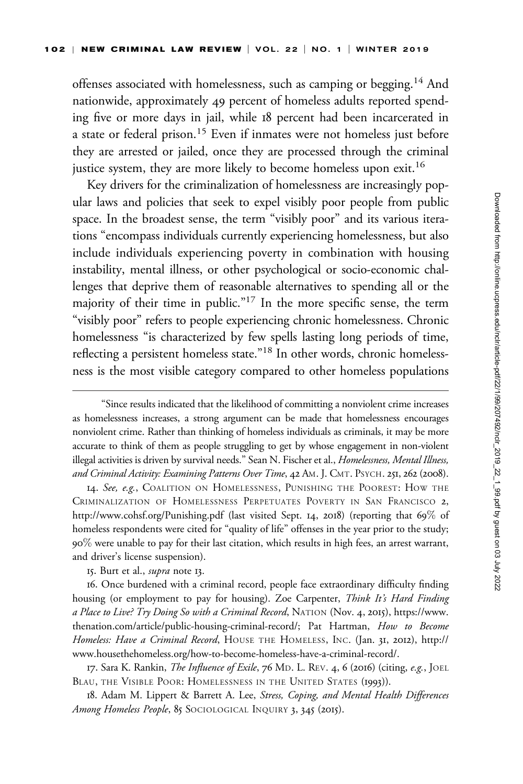offenses associated with homelessness, such as camping or begging.<sup>14</sup> And nationwide, approximately 49 percent of homeless adults reported spending five or more days in jail, while 18 percent had been incarcerated in a state or federal prison.<sup>15</sup> Even if inmates were not homeless just before they are arrested or jailed, once they are processed through the criminal justice system, they are more likely to become homeless upon exit.<sup>16</sup>

Key drivers for the criminalization of homelessness are increasingly popular laws and policies that seek to expel visibly poor people from public space. In the broadest sense, the term "visibly poor" and its various iterations "encompass individuals currently experiencing homelessness, but also include individuals experiencing poverty in combination with housing instability, mental illness, or other psychological or socio-economic challenges that deprive them of reasonable alternatives to spending all or the majority of their time in public."17 In the more specific sense, the term "visibly poor" refers to people experiencing chronic homelessness. Chronic homelessness "is characterized by few spells lasting long periods of time, reflecting a persistent homeless state."18 In other words, chronic homelessness is the most visible category compared to other homeless populations

14. See, e.g., COALITION ON HOMELESSNESS, PUNISHING THE POOREST: HOW THE CRIMINALIZATION OF HOMELESSNESS PERPETUATES POVERTY IN SAN FRANCISCO 2, <http://www.cohsf.org/Punishing.pdf> (last visited Sept. 14, 2018) (reporting that 69% of homeless respondents were cited for "quality of life" offenses in the year prior to the study; 90% were unable to pay for their last citation, which results in high fees, an arrest warrant, and driver's license suspension).

15. Burt et al., *supra* note 13.

16. Once burdened with a criminal record, people face extraordinary difficulty finding housing (or employment to pay for housing). Zoe Carpenter, Think It's Hard Finding a Place to Live? Try Doing So with a Criminal Record, NATION (Nov. 4, 2015), [https://www.](https://www.thenation.com/article/public-housing-criminal-record/) [thenation.com/article/public-housing-criminal-record/;](https://www.thenation.com/article/public-housing-criminal-record/) Pat Hartman, How to Become Homeless: Have a Criminal Record, HOUSE THE HOMELESS, INC. (Jan. 31, 2012), [http://](http://www.housethehomeless.org/how-to-become-homeless-have-a-criminal-record/) [www.housethehomeless.org/how-to-become-homeless-have-a-criminal-record/.](http://www.housethehomeless.org/how-to-become-homeless-have-a-criminal-record/)

17. Sara K. Rankin, *The Influence of Exile*, 76 MD. L. REV. 4, 6 (2016) (citing, e.g., JOEL BLAU, THE VISIBLE POOR: HOMELESSNESS IN THE UNITED STATES (1993)).

18. Adam M. Lippert & Barrett A. Lee, Stress, Coping, and Mental Health Differences Among Homeless People, 85 SOCIOLOGICAL INQUIRY 3, 345 (2015).

<sup>&</sup>quot;Since results indicated that the likelihood of committing a nonviolent crime increases as homelessness increases, a strong argument can be made that homelessness encourages nonviolent crime. Rather than thinking of homeless individuals as criminals, it may be more accurate to think of them as people struggling to get by whose engagement in non-violent illegal activities is driven by survival needs." Sean N. Fischer et al., Homelessness, Mental Illness, and Criminal Activity: Examining Patterns Over Time, 42 AM. J. CMT. PSYCH. 251, 262 (2008).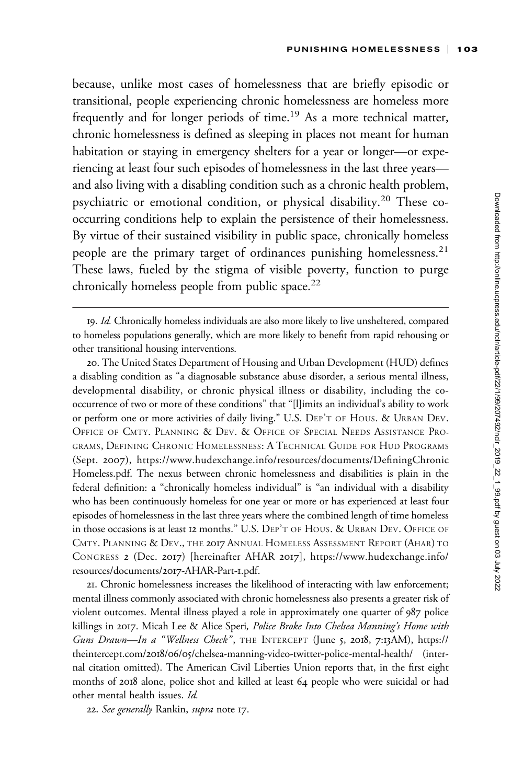because, unlike most cases of homelessness that are briefly episodic or transitional, people experiencing chronic homelessness are homeless more frequently and for longer periods of time.<sup>19</sup> As a more technical matter, chronic homelessness is defined as sleeping in places not meant for human habitation or staying in emergency shelters for a year or longer—or experiencing at least four such episodes of homelessness in the last three years and also living with a disabling condition such as a chronic health problem, psychiatric or emotional condition, or physical disability.<sup>20</sup> These cooccurring conditions help to explain the persistence of their homelessness. By virtue of their sustained visibility in public space, chronically homeless people are the primary target of ordinances punishing homelessness.<sup>21</sup> These laws, fueled by the stigma of visible poverty, function to purge chronically homeless people from public space.<sup>22</sup>

20. The United States Department of Housing and Urban Development (HUD) defines a disabling condition as "a diagnosable substance abuse disorder, a serious mental illness, developmental disability, or chronic physical illness or disability, including the cooccurrence of two or more of these conditions" that "[l]imits an individual's ability to work or perform one or more activities of daily living." U.S. DEP'T OF HOUS.&URBAN DEV. OFFICE OF CMTY. PLANNING & DEV.&OFFICE OF SPECIAL NEEDS ASSISTANCE PRO-GRAMS, DEFINING CHRONIC HOMELESSNESS:ATECHNICAL GUIDE FOR HUD PROGRAMS (Sept. 2007), [https://www.hudexchange.info/resources/documents/DefiningChronic](https://www.hudexchange.info/resources/documents/DefiningChronicHomeless.pdf) [Homeless.pdf](https://www.hudexchange.info/resources/documents/DefiningChronicHomeless.pdf). The nexus between chronic homelessness and disabilities is plain in the federal definition: a "chronically homeless individual" is "an individual with a disability who has been continuously homeless for one year or more or has experienced at least four episodes of homelessness in the last three years where the combined length of time homeless in those occasions is at least 12 months." U.S. DEP'T OF HOUS.&URBAN DEV. OFFICE OF CMTY. PLANNING & DEV., THE 2017 ANNUAL HOMELESS ASSESSMENT REPORT (AHAR) TO CONGRESS 2 (Dec. 2017) [hereinafter AHAR 2017], [https://www.hudexchange.info/](https://www.hudexchange.info/resources/documents/2017-AHAR-Part-1.pdf) [resources/documents/](https://www.hudexchange.info/resources/documents/2017-AHAR-Part-1.pdf)2017-AHAR-Part-1.pdf.

21. Chronic homelessness increases the likelihood of interacting with law enforcement; mental illness commonly associated with chronic homelessness also presents a greater risk of violent outcomes. Mental illness played a role in approximately one quarter of 987 police killings in 2017. Micah Lee & Alice Speri, Police Broke Into Chelsea Manning's Home with Guns Drawn-In a "Wellness Check", THE INTERCEPT (June 5, 2018, 7:13AM), [https://](https://theintercept.com/2018/06/05/chelsea-manning-video-twitter-police-mental-health/) theintercept.com/2018/06/05[/chelsea-manning-video-twitter-police-mental-health/](https://theintercept.com/2018/06/05/chelsea-manning-video-twitter-police-mental-health/) (internal citation omitted). The American Civil Liberties Union reports that, in the first eight months of 2018 alone, police shot and killed at least 64 people who were suicidal or had other mental health issues. Id.

22. See generally Rankin, supra note 17.

<sup>19.</sup> Id. Chronically homeless individuals are also more likely to live unsheltered, compared to homeless populations generally, which are more likely to benefit from rapid rehousing or other transitional housing interventions.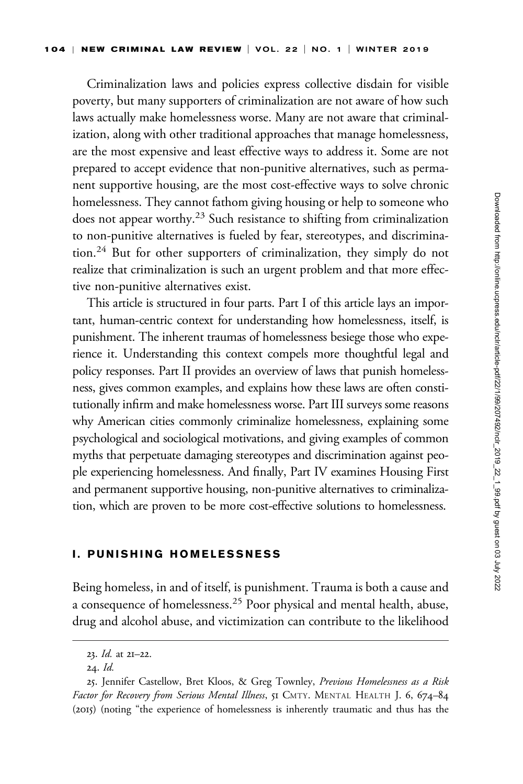Criminalization laws and policies express collective disdain for visible poverty, but many supporters of criminalization are not aware of how such laws actually make homelessness worse. Many are not aware that criminalization, along with other traditional approaches that manage homelessness, are the most expensive and least effective ways to address it. Some are not prepared to accept evidence that non-punitive alternatives, such as permanent supportive housing, are the most cost-effective ways to solve chronic homelessness. They cannot fathom giving housing or help to someone who does not appear worthy.<sup>23</sup> Such resistance to shifting from criminalization to non-punitive alternatives is fueled by fear, stereotypes, and discrimination.<sup>24</sup> But for other supporters of criminalization, they simply do not realize that criminalization is such an urgent problem and that more effective non-punitive alternatives exist.

This article is structured in four parts. Part I of this article lays an important, human-centric context for understanding how homelessness, itself, is punishment. The inherent traumas of homelessness besiege those who experience it. Understanding this context compels more thoughtful legal and policy responses. Part II provides an overview of laws that punish homelessness, gives common examples, and explains how these laws are often constitutionally infirm and make homelessness worse. Part III surveys some reasons why American cities commonly criminalize homelessness, explaining some psychological and sociological motivations, and giving examples of common myths that perpetuate damaging stereotypes and discrimination against people experiencing homelessness. And finally, Part IV examines Housing First and permanent supportive housing, non-punitive alternatives to criminalization, which are proven to be more cost-effective solutions to homelessness.

### I. PUNISHING HOMELESSNESS

Being homeless, in and of itself, is punishment. Trauma is both a cause and a consequence of homelessness.<sup>25</sup> Poor physical and mental health, abuse, drug and alcohol abuse, and victimization can contribute to the likelihood

<sup>23.</sup> Id. at 21–22.

<sup>24.</sup> Id.

<sup>25.</sup> Jennifer Castellow, Bret Kloos, & Greg Townley, Previous Homelessness as a Risk Factor for Recovery from Serious Mental Illness, 51 CMTY. MENTAL HEALTH J. 6, 674-84 (2015) (noting "the experience of homelessness is inherently traumatic and thus has the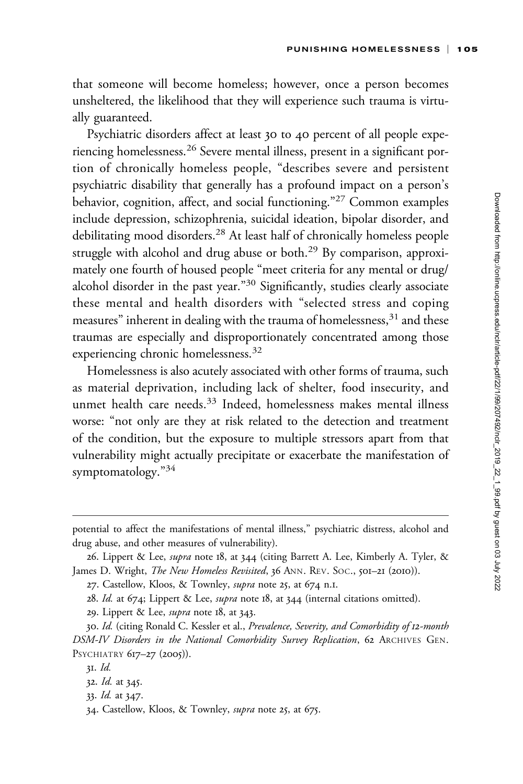that someone will become homeless; however, once a person becomes unsheltered, the likelihood that they will experience such trauma is virtually guaranteed.

Psychiatric disorders affect at least 30 to 40 percent of all people experiencing homelessness.<sup>26</sup> Severe mental illness, present in a significant portion of chronically homeless people, "describes severe and persistent psychiatric disability that generally has a profound impact on a person's behavior, cognition, affect, and social functioning."<sup>27</sup> Common examples include depression, schizophrenia, suicidal ideation, bipolar disorder, and debilitating mood disorders.<sup>28</sup> At least half of chronically homeless people struggle with alcohol and drug abuse or both.<sup>29</sup> By comparison, approximately one fourth of housed people "meet criteria for any mental or drug/ alcohol disorder in the past year."<sup>30</sup> Significantly, studies clearly associate these mental and health disorders with "selected stress and coping measures" inherent in dealing with the trauma of homelessness,<sup>31</sup> and these traumas are especially and disproportionately concentrated among those experiencing chronic homelessness.<sup>32</sup>

Homelessness is also acutely associated with other forms of trauma, such as material deprivation, including lack of shelter, food insecurity, and unmet health care needs.<sup>33</sup> Indeed, homelessness makes mental illness worse: "not only are they at risk related to the detection and treatment of the condition, but the exposure to multiple stressors apart from that vulnerability might actually precipitate or exacerbate the manifestation of symptomatology."<sup>34</sup>

potential to affect the manifestations of mental illness," psychiatric distress, alcohol and drug abuse, and other measures of vulnerability).

<sup>26.</sup> Lippert & Lee, *supra* note 18, at 344 (citing Barrett A. Lee, Kimberly A. Tyler, & James D. Wright, The New Homeless Revisited, 36 ANN. REV. SOC., 501-21 (2010)).

<sup>27.</sup> Castellow, Kloos, & Townley, supra note 25, at 674 n.1.

<sup>28.</sup> Id. at 674; Lippert & Lee, supra note 18, at 344 (internal citations omitted).

<sup>29.</sup> Lippert & Lee, supra note 18, at 343.

<sup>30.</sup> Id. (citing Ronald C. Kessler et al., Prevalence, Severity, and Comorbidity of 12-month DSM-IV Disorders in the National Comorbidity Survey Replication, 62 ARCHIVES GEN. PSYCHIATRY 617-27 (2005)).

<sup>31.</sup> Id.

<sup>32.</sup> Id. at 345.

<sup>33.</sup> Id. at 347.

<sup>34.</sup> Castellow, Kloos, & Townley, supra note 25, at 675.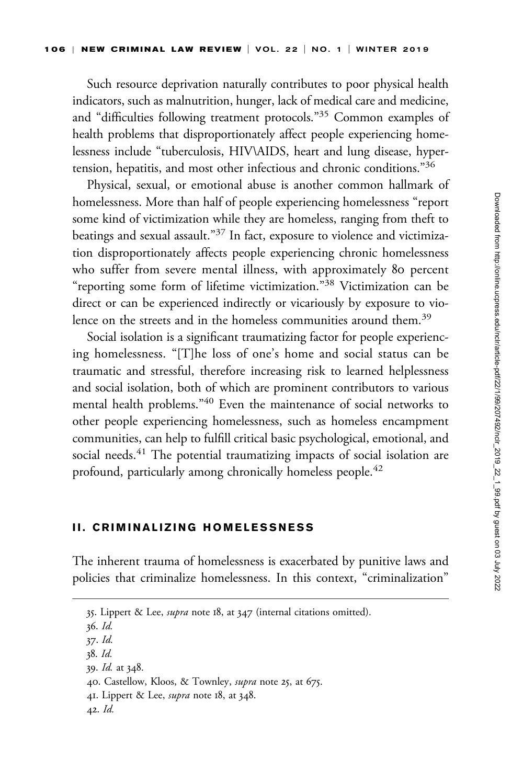Such resource deprivation naturally contributes to poor physical health indicators, such as malnutrition, hunger, lack of medical care and medicine, and "difficulties following treatment protocols."35 Common examples of health problems that disproportionately affect people experiencing homelessness include "tuberculosis, HIV\AIDS, heart and lung disease, hypertension, hepatitis, and most other infectious and chronic conditions."36

Physical, sexual, or emotional abuse is another common hallmark of homelessness. More than half of people experiencing homelessness "report some kind of victimization while they are homeless, ranging from theft to beatings and sexual assault."<sup>37</sup> In fact, exposure to violence and victimization disproportionately affects people experiencing chronic homelessness who suffer from severe mental illness, with approximately 80 percent "reporting some form of lifetime victimization."<sup>38</sup> Victimization can be direct or can be experienced indirectly or vicariously by exposure to violence on the streets and in the homeless communities around them.<sup>39</sup>

Social isolation is a significant traumatizing factor for people experiencing homelessness. "[T]he loss of one's home and social status can be traumatic and stressful, therefore increasing risk to learned helplessness and social isolation, both of which are prominent contributors to various mental health problems."<sup>40</sup> Even the maintenance of social networks to other people experiencing homelessness, such as homeless encampment communities, can help to fulfill critical basic psychological, emotional, and social needs.<sup>41</sup> The potential traumatizing impacts of social isolation are profound, particularly among chronically homeless people.<sup>42</sup>

### II. CRIMINALIZING HOMELESSNESS

The inherent trauma of homelessness is exacerbated by punitive laws and policies that criminalize homelessness. In this context, "criminalization"

36. Id.

- 39. Id. at 348.
- 40. Castellow, Kloos, & Townley, supra note 25, at 675.
- 41. Lippert & Lee, *supra* note 18, at 348.
- 42. Id.

<sup>35.</sup> Lippert & Lee, supra note 18, at 347 (internal citations omitted).

<sup>37.</sup> Id.

<sup>38.</sup> Id.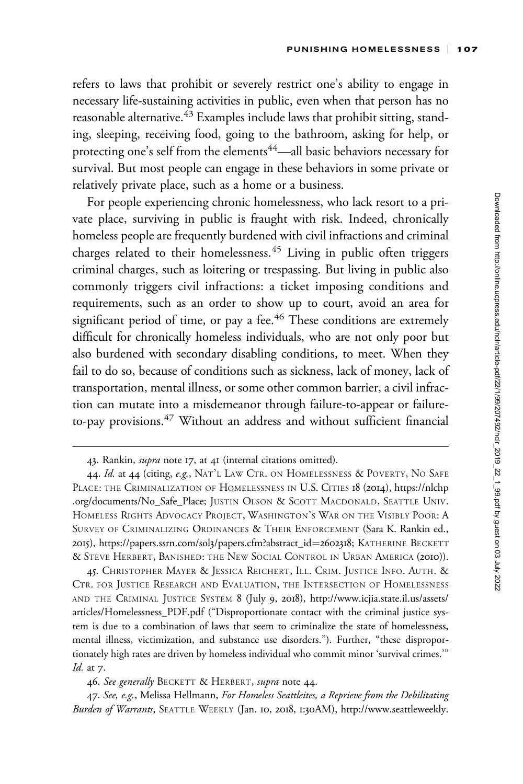refers to laws that prohibit or severely restrict one's ability to engage in necessary life-sustaining activities in public, even when that person has no reasonable alternative.<sup>43</sup> Examples include laws that prohibit sitting, standing, sleeping, receiving food, going to the bathroom, asking for help, or protecting one's self from the elements<sup>44</sup>—all basic behaviors necessary for survival. But most people can engage in these behaviors in some private or relatively private place, such as a home or a business.

For people experiencing chronic homelessness, who lack resort to a private place, surviving in public is fraught with risk. Indeed, chronically homeless people are frequently burdened with civil infractions and criminal charges related to their homelessness.<sup>45</sup> Living in public often triggers criminal charges, such as loitering or trespassing. But living in public also commonly triggers civil infractions: a ticket imposing conditions and requirements, such as an order to show up to court, avoid an area for significant period of time, or pay a fee.<sup>46</sup> These conditions are extremely difficult for chronically homeless individuals, who are not only poor but also burdened with secondary disabling conditions, to meet. When they fail to do so, because of conditions such as sickness, lack of money, lack of transportation, mental illness, or some other common barrier, a civil infraction can mutate into a misdemeanor through failure-to-appear or failureto-pay provisions.<sup>47</sup> Without an address and without sufficient financial

45. CHRISTOPHER MAYER & JESSICA REICHERT, ILL. CRIM. JUSTICE INFO. AUTH. & CTR. FOR JUSTICE RESEARCH AND EVALUATION, THE INTERSECTION OF HOMELESSNESS AND THE CRIMINAL JUSTICE SYSTEM 8 (July 9, 2018), [http://www.icjia.state.il.us/assets/](http://www.icjia.state.il.us/assets/articles/Homelessness_PDF.pdf) [articles/Homelessness\\_PDF.pdf](http://www.icjia.state.il.us/assets/articles/Homelessness_PDF.pdf) ("Disproportionate contact with the criminal justice system is due to a combination of laws that seem to criminalize the state of homelessness, mental illness, victimization, and substance use disorders."). Further, "these disproportionately high rates are driven by homeless individual who commit minor 'survival crimes.'" Id. at 7.

46. See generally BECKETT & HERBERT, supra note 44.

47. See, e.g., Melissa Hellmann, For Homeless Seattleites, a Reprieve from the Debilitating Burden of Warrants, SEATTLE WEEKLY (Jan. 10, 2018, 1:30AM), [http://www.seattleweekly.](http://www.seattleweekly.com/news/for-homeless-seattleites-a-reprieve-from-the-debilitating-burden-of-warrants/)

<sup>43.</sup> Rankin, *supra* note 17, at 41 (internal citations omitted).

<sup>44.</sup> Id. at 44 (citing, e.g., NAT'L LAW CTR. ON HOMELESSNESS & POVERTY, NO SAFE PLACE: THE CRIMINALIZATION OF HOMELESSNESS IN U.S. CITIES 18 (2014), [https://nlchp](https://nlchp.org/documents/No_Safe_Place) [.org/documents/No\\_Safe\\_Place](https://nlchp.org/documents/No_Safe_Place); JUSTIN OLSON & SCOTT MACDONALD, SEATTLE UNIV. HOMELESS RIGHTS ADVOCACY PROJECT, WASHINGTON'S WAR ON THE VISIBLY POOR: A SURVEY OF CRIMINALIZING ORDINANCES & THEIR ENFORCEMENT (Sara K. Rankin ed., 2015), [https://papers.ssrn.com/sol](https://papers.ssrn.com/sol3/papers.cfm?abstract_id=2602318)3/papers.cfm?abstract\_id=[2602318](https://papers.ssrn.com/sol3/papers.cfm?abstract_id=2602318); KATHERINE BECKETT & STEVE HERBERT, BANISHED: THE NEW SOCIAL CONTROL IN URBAN AMERICA (2010)).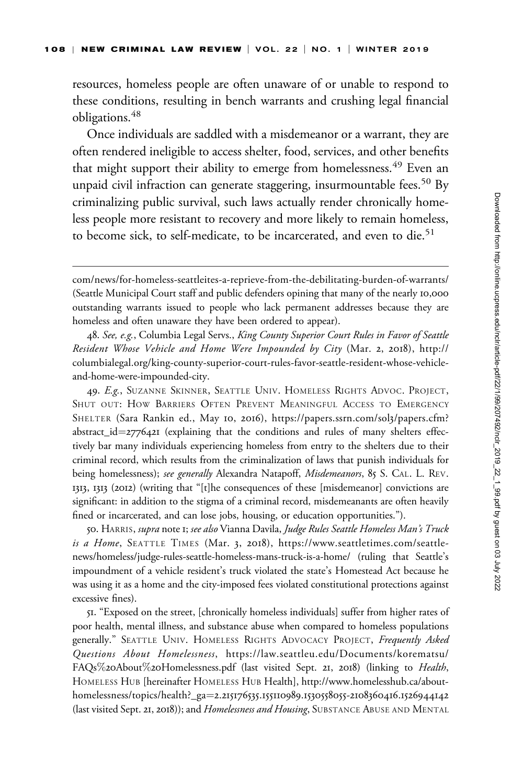resources, homeless people are often unaware of or unable to respond to these conditions, resulting in bench warrants and crushing legal financial obligations.<sup>48</sup>

Once individuals are saddled with a misdemeanor or a warrant, they are often rendered ineligible to access shelter, food, services, and other benefits that might support their ability to emerge from homelessness.<sup>49</sup> Even an unpaid civil infraction can generate staggering, insurmountable fees.<sup>50</sup> By criminalizing public survival, such laws actually render chronically homeless people more resistant to recovery and more likely to remain homeless, to become sick, to self-medicate, to be incarcerated, and even to die.<sup>51</sup>

48. See, e.g., Columbia Legal Servs., King County Superior Court Rules in Favor of Seattle Resident Whose Vehicle and Home Were Impounded by City (Mar. 2, 2018), [http://](http://columbialegal.org/king-county-superior-court-rules-favor-seattle-resident-whose-vehicle-and-home-were-impounded-city) [columbialegal.org/king-county-superior-court-rules-favor-seattle-resident-whose-vehicle](http://columbialegal.org/king-county-superior-court-rules-favor-seattle-resident-whose-vehicle-and-home-were-impounded-city)[and-home-were-impounded-city](http://columbialegal.org/king-county-superior-court-rules-favor-seattle-resident-whose-vehicle-and-home-were-impounded-city).

49. E.g., SUZANNE SKINNER, SEATTLE UNIV. HOMELESS RIGHTS ADVOC. PROJECT, SHUT OUT: HOW BARRIERS OFTEN PREVENT MEANINGFUL ACCESS TO EMERGENCY SHELTER (Sara Rankin ed., May 10, 2016), [https://papers.ssrn.com/sol](https://papers.ssrn.com/sol3/papers.cfm?abstract_id=2776421)3/papers.cfm? [abstract\\_id](https://papers.ssrn.com/sol3/papers.cfm?abstract_id=2776421)= $2776421$  (explaining that the conditions and rules of many shelters effectively bar many individuals experiencing homeless from entry to the shelters due to their criminal record, which results from the criminalization of laws that punish individuals for being homelessness); see generally Alexandra Natapoff, Misdemeanors, 85 S. CAL. L. REV. 1313, 1313 (2012) (writing that "[t]he consequences of these [misdemeanor] convictions are significant: in addition to the stigma of a criminal record, misdemeanants are often heavily fined or incarcerated, and can lose jobs, housing, or education opportunities.").

50. HARRIS, supra note 1; see also Vianna Davila, Judge Rules Seattle Homeless Man's Truck is a Home, SEATTLE TIMES (Mar. 3, 2018), [https://www.seattletimes.com/seattle](https://www.seattletimes.com/seattle-news/homeless/judge-rules-seattle-homeless-mans-truck-is-a-home/)[news/homeless/judge-rules-seattle-homeless-mans-truck-is-a-home/](https://www.seattletimes.com/seattle-news/homeless/judge-rules-seattle-homeless-mans-truck-is-a-home/) (ruling that Seattle's impoundment of a vehicle resident's truck violated the state's Homestead Act because he was using it as a home and the city-imposed fees violated constitutional protections against excessive fines).

51. "Exposed on the street, [chronically homeless individuals] suffer from higher rates of poor health, mental illness, and substance abuse when compared to homeless populations generally." SEATTLE UNIV. HOMELESS RIGHTS ADVOCACY PROJECT, Frequently Asked Questions About Homelessness, [https://law.seattleu.edu/Documents/korematsu/](https://law.seattleu.edu/Documents/korematsu/FAQs%20About%20Homelessness.pdf) [FAQs](https://law.seattleu.edu/Documents/korematsu/FAQs%20About%20Homelessness.pdf)%20[About](https://law.seattleu.edu/Documents/korematsu/FAQs%20About%20Homelessness.pdf)%20[Homelessness.pdf](https://law.seattleu.edu/Documents/korematsu/FAQs%20About%20Homelessness.pdf) (last visited Sept. 21, 2018) (linking to Health, HOMELESS HUB [hereinafter HOMELESS HUB Health], [http://www.homelesshub.ca/about](http://www.homelesshub.ca/about-homelessness/topics/health?_ga=2.215176535.155110989.1530558055-2108360416.1526944142)[homelessness/topics/health?\\_ga](http://www.homelesshub.ca/about-homelessness/topics/health?_ga=2.215176535.155110989.1530558055-2108360416.1526944142)¼2.215176535.155110989.1530558055-[2108360416](http://www.homelesshub.ca/about-homelessness/topics/health?_ga=2.215176535.155110989.1530558055-2108360416.1526944142).1526944142 (last visited Sept. 21, 2018)); and Homelessness and Housing, SUBSTANCE ABUSE AND MENTAL

[com/news/for-homeless-seattleites-a-reprieve-from-the-debilitating-burden-of-warrants/](http://www.seattleweekly.com/news/for-homeless-seattleites-a-reprieve-from-the-debilitating-burden-of-warrants/) (Seattle Municipal Court staff and public defenders opining that many of the nearly 10,000 outstanding warrants issued to people who lack permanent addresses because they are homeless and often unaware they have been ordered to appear).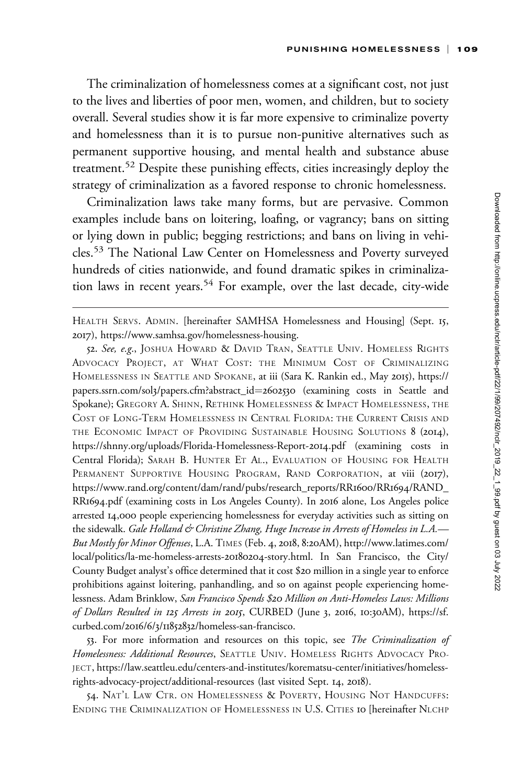The criminalization of homelessness comes at a significant cost, not just to the lives and liberties of poor men, women, and children, but to society overall. Several studies show it is far more expensive to criminalize poverty and homelessness than it is to pursue non-punitive alternatives such as permanent supportive housing, and mental health and substance abuse treatment.<sup>52</sup> Despite these punishing effects, cities increasingly deploy the strategy of criminalization as a favored response to chronic homelessness.

Criminalization laws take many forms, but are pervasive. Common examples include bans on loitering, loafing, or vagrancy; bans on sitting or lying down in public; begging restrictions; and bans on living in vehicles.<sup>53</sup> The National Law Center on Homelessness and Poverty surveyed hundreds of cities nationwide, and found dramatic spikes in criminalization laws in recent years.<sup>54</sup> For example, over the last decade, city-wide

HEALTH SERVS. ADMIN. [hereinafter SAMHSA Homelessness and Housing] (Sept. 15, 2017), [https://www.samhsa.gov/homelessness-housing.](https://www.samhsa.gov/homelessness-housing)

<sup>52.</sup> See, e.g., JOSHUA HOWARD & DAVID TRAN, SEATTLE UNIV. HOMELESS RIGHTS ADVOCACY PROJECT, AT WHAT COST: THE MINIMUM COST OF CRIMINALIZING HOMELESSNESS IN SEATTLE AND SPOKANE, at iii (Sara K. Rankin ed., May 2015), [https://](https://papers.ssrn.com/sol3/papers.cfm?abstract_id=2602530) papers.ssrn.com/sol3[/papers.cfm?abstract\\_id](https://papers.ssrn.com/sol3/papers.cfm?abstract_id=2602530)=[2602530](https://papers.ssrn.com/sol3/papers.cfm?abstract_id=2602530) (examining costs in Seattle and Spokane); GREGORY A. SHINN, RETHINK HOMELESSNESS & IMPACT HOMELESSNESS, THE COST OF LONG-TERM HOMELESSNESS IN CENTRAL FLORIDA: THE CURRENT CRISIS AND THE ECONOMIC IMPACT OF PROVIDING SUSTAINABLE HOUSING SOLUTIONS 8 (2014), [https://shnny.org/uploads/Florida-Homelessness-Report-](https://shnny.org/uploads/Florida-Homelessness-Report-2014.pdf)2014.pdf (examining costs in Central Florida); SARAH B. HUNTER ET AL., EVALUATION OF HOUSING FOR HEALTH PERMANENT SUPPORTIVE HOUSING PROGRAM, RAND CORPORATION, at viii (2017), [https://www.rand.org/content/dam/rand/pubs/research\\_reports/RR](https://www.rand.org/content/dam/rand/pubs/research_reports/RR1600/RR1694/RAND_RR1694.pdf)1600/RR1694/RAND\_ RR1694[.pdf](https://www.rand.org/content/dam/rand/pubs/research_reports/RR1600/RR1694/RAND_RR1694.pdf) (examining costs in Los Angeles County). In 2016 alone, Los Angeles police arrested 14,000 people experiencing homelessness for everyday activities such as sitting on the sidewalk. Gale Holland & Christine Zhang, Huge Increase in Arrests of Homeless in L.A.— But Mostly for Minor Offenses, L.A. TIMES (Feb. 4, 2018, 8:20AM), [http://www.latimes.com/](http://www.latimes.com/local/politics/la-me-homeless-arrests-20180204-story.html) [local/politics/la-me-homeless-arrests-](http://www.latimes.com/local/politics/la-me-homeless-arrests-20180204-story.html)20180204-story.html. In San Francisco, the City/ County Budget analyst's office determined that it cost \$20 million in a single year to enforce prohibitions against loitering, panhandling, and so on against people experiencing homelessness. Adam Brinklow, San Francisco Spends \$20 Million on Anti-Homeless Laws: Millions of Dollars Resulted in 125 Arrests in 2015, CURBED (June 3, 2016, 10:30AM), [https://sf.](https://sf.curbed.com/2016/6/3/11852832/homeless-san-francisco) curbed.com/2016/6/3/11852832[/homeless-san-francisco.](https://sf.curbed.com/2016/6/3/11852832/homeless-san-francisco)

<sup>53.</sup> For more information and resources on this topic, see The Criminalization of Homelessness: Additional Resources, SEATTLE UNIV. HOMELESS RIGHTS ADVOCACY PRO-JECT, [https://law.seattleu.edu/centers-and-institutes/korematsu-center/initiatives/homeless](https://law.seattleu.edu/centers-and-institutes/korematsu-center/initiatives/homeless-rights-advocacy-project/additional-resources)[rights-advocacy-project/additional-resources](https://law.seattleu.edu/centers-and-institutes/korematsu-center/initiatives/homeless-rights-advocacy-project/additional-resources) (last visited Sept. 14, 2018).

<sup>54.</sup> NAT'L LAW CTR. ON HOMELESSNESS & POVERTY, HOUSING NOT HANDCUFFS: ENDING THE CRIMINALIZATION OF HOMELESSNESS IN U.S. CITIES 10 [hereinafter NLCHP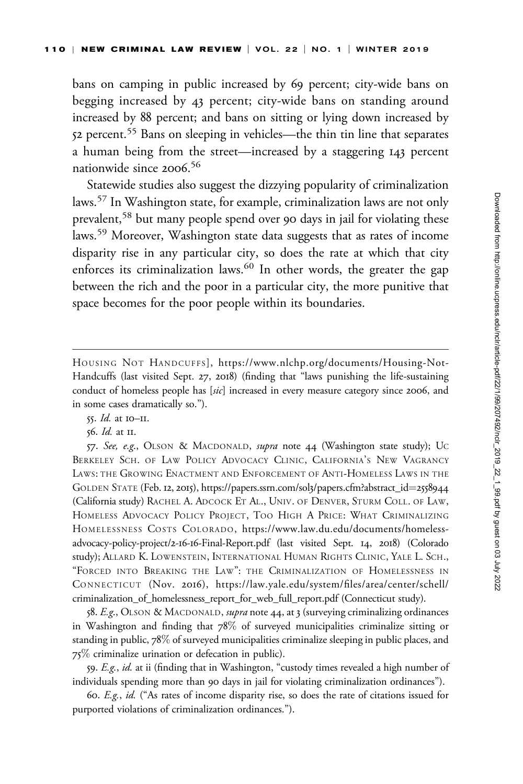bans on camping in public increased by 69 percent; city-wide bans on begging increased by 43 percent; city-wide bans on standing around increased by 88 percent; and bans on sitting or lying down increased by 52 percent.<sup>55</sup> Bans on sleeping in vehicles—the thin tin line that separates a human being from the street—increased by a staggering 143 percent nationwide since 2006. 56

Statewide studies also suggest the dizzying popularity of criminalization laws.<sup>57</sup> In Washington state, for example, criminalization laws are not only prevalent,<sup>58</sup> but many people spend over 90 days in jail for violating these laws.<sup>59</sup> Moreover, Washington state data suggests that as rates of income disparity rise in any particular city, so does the rate at which that city enforces its criminalization laws. $60$  In other words, the greater the gap between the rich and the poor in a particular city, the more punitive that space becomes for the poor people within its boundaries.

58. E.g., OLSON & MACDONALD, *supra* note 44, at 3 (surveying criminalizing ordinances in Washington and finding that 78% of surveyed municipalities criminalize sitting or standing in public, 78% of surveyed municipalities criminalize sleeping in public places, and 75% criminalize urination or defecation in public).

59. E.g., id. at ii (finding that in Washington, "custody times revealed a high number of individuals spending more than 90 days in jail for violating criminalization ordinances").

60. E.g., id. ("As rates of income disparity rise, so does the rate of citations issued for purported violations of criminalization ordinances.").

HOUSING NOT HANDCUFFS], [https://www.nlchp.org/documents/Housing-Not-](https://www.nlchp.org/documents/Housing-Not-Handcuffs)[Handcuffs](https://www.nlchp.org/documents/Housing-Not-Handcuffs) (last visited Sept. 27, 2018) (finding that "laws punishing the life-sustaining conduct of homeless people has [sic] increased in every measure category since 2006, and in some cases dramatically so.").

<sup>55.</sup> Id. at 10–11.

<sup>56.</sup> Id. at 11.

<sup>57.</sup> See, e.g., OLSON & MACDONALD, supra note 44 (Washington state study); UC BERKELEY SCH. OF LAW POLICY ADVOCACY CLINIC, CALIFORNIA'S NEW VAGRANCY LAWS: THE GROWING ENACTMENT AND ENFORCEMENT OF ANTI-HOMELESS LAWS IN THE GOLDEN STATE (Feb. 12, 2015), [https://papers.ssrn.com/sol](https://papers.ssrn.com/sol3/papers.cfm?abstract_id=2558944)3/papers.cfm?abstract\_id=[2558944](https://papers.ssrn.com/sol3/papers.cfm?abstract_id=2558944) (California study) RACHEL A. ADCOCK ET AL., UNIV. OF DENVER, STURM COLL. OF LAW, HOMELESS ADVOCACY POLICY PROJECT, TOO HIGH A PRICE: WHAT CRIMINALIZING HOMELESSNESS COSTS COLORADO, [https://www.law.du.edu/documents/homeless](https://www.law.du.edu/documents/homeless-advocacy-policy-project/2-16-16-Final-Report.pdf)[advocacy-policy-project/](https://www.law.du.edu/documents/homeless-advocacy-policy-project/2-16-16-Final-Report.pdf)2-16-16-Final-Report.pdf (last visited Sept. 14, 2018) (Colorado study); ALLARD K. LOWENSTEIN, INTERNATIONAL HUMAN RIGHTS CLINIC, YALE L. SCH., "FORCED INTO BREAKING THE LAW": THE CRIMINALIZATION OF HOMELESSNESS IN CONNECTICUT (Nov. 2016), [https://law.yale.edu/system/files/area/center/schell/](https://law.yale.edu/system/files/area/center/schell/criminalization_of_homelessness_report_for_web_full_report.pdf) [criminalization\\_of\\_homelessness\\_report\\_for\\_web\\_full\\_report.pdf](https://law.yale.edu/system/files/area/center/schell/criminalization_of_homelessness_report_for_web_full_report.pdf) (Connecticut study).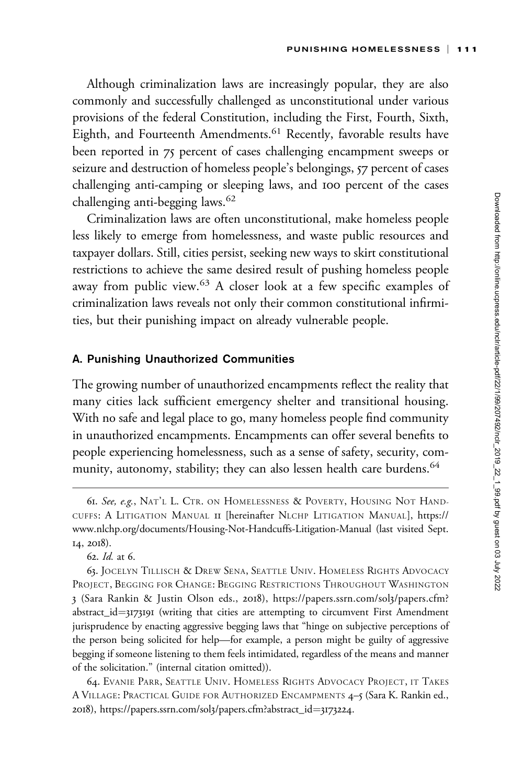Although criminalization laws are increasingly popular, they are also commonly and successfully challenged as unconstitutional under various provisions of the federal Constitution, including the First, Fourth, Sixth, Eighth, and Fourteenth Amendments.<sup>61</sup> Recently, favorable results have been reported in 75 percent of cases challenging encampment sweeps or seizure and destruction of homeless people's belongings, 57 percent of cases challenging anti-camping or sleeping laws, and 100 percent of the cases challenging anti-begging laws.<sup>62</sup>

Criminalization laws are often unconstitutional, make homeless people less likely to emerge from homelessness, and waste public resources and taxpayer dollars. Still, cities persist, seeking new ways to skirt constitutional restrictions to achieve the same desired result of pushing homeless people away from public view.<sup>63</sup> A closer look at a few specific examples of criminalization laws reveals not only their common constitutional infirmities, but their punishing impact on already vulnerable people.

### A. Punishing Unauthorized Communities

The growing number of unauthorized encampments reflect the reality that many cities lack sufficient emergency shelter and transitional housing. With no safe and legal place to go, many homeless people find community in unauthorized encampments. Encampments can offer several benefits to people experiencing homelessness, such as a sense of safety, security, community, autonomy, stability; they can also lessen health care burdens.<sup>64</sup>

64. EVANIE PARR, SEATTLE UNIV. HOMELESS RIGHTS ADVOCACY PROJECT, IT TAKES A VILLAGE: PRACTICAL GUIDE FOR AUTHORIZED ENCAMPMENTS 4–5 (Sara K. Rankin ed., 2018), [https://papers.ssrn.com/sol](https://papers.ssrn.com/sol3/papers.cfm?abstract_id=3173224)3/papers.cfm?abstract\_id=[3173224](https://papers.ssrn.com/sol3/papers.cfm?abstract_id=3173224).

<sup>61.</sup> See, e.g., NAT'L L. CTR. ON HOMELESSNESS & POVERTY, HOUSING NOT HAND-CUFFS:ALITIGATION MANUAL 11 [hereinafter NLCHP LITIGATION MANUAL], [https://](https://www.nlchp.org/documents/Housing-Not-Handcuffs-Litigation-Manual) [www.nlchp.org/documents/Housing-Not-Handcuffs-Litigation-Manual](https://www.nlchp.org/documents/Housing-Not-Handcuffs-Litigation-Manual) (last visited Sept. 14, 2018).

<sup>62.</sup> Id. at 6.

<sup>63.</sup> JOCELYN TILLISCH & DREW SENA, SEATTLE UNIV. HOMELESS RIGHTS ADVOCACY PROJECT, BEGGING FOR CHANGE: BEGGING RESTRICTIONS THROUGHOUT WASHINGTON 3 (Sara Rankin & Justin Olson eds., 2018), [https://papers.ssrn.com/sol](https://papers.ssrn.com/sol3/papers.cfm?abstract_id=3173191)3/papers.cfm? [abstract\\_id](https://papers.ssrn.com/sol3/papers.cfm?abstract_id=3173191)= $3173191$  (writing that cities are attempting to circumvent First Amendment jurisprudence by enacting aggressive begging laws that "hinge on subjective perceptions of the person being solicited for help—for example, a person might be guilty of aggressive begging if someone listening to them feels intimidated, regardless of the means and manner of the solicitation." (internal citation omitted)).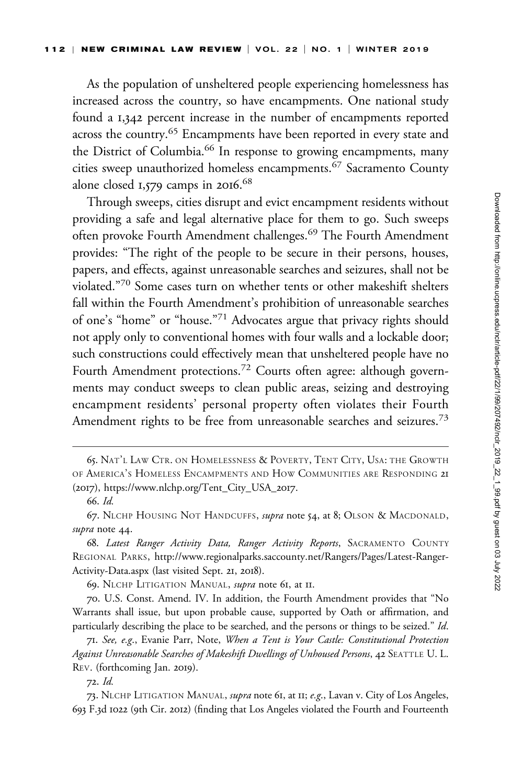As the population of unsheltered people experiencing homelessness has increased across the country, so have encampments. One national study found a 1,342 percent increase in the number of encampments reported across the country.<sup>65</sup> Encampments have been reported in every state and the District of Columbia.<sup>66</sup> In response to growing encampments, many cities sweep unauthorized homeless encampments.<sup>67</sup> Sacramento County alone closed 1,579 camps in 2016. 68

Through sweeps, cities disrupt and evict encampment residents without providing a safe and legal alternative place for them to go. Such sweeps often provoke Fourth Amendment challenges.<sup>69</sup> The Fourth Amendment provides: "The right of the people to be secure in their persons, houses, papers, and effects, against unreasonable searches and seizures, shall not be violated."<sup>70</sup> Some cases turn on whether tents or other makeshift shelters fall within the Fourth Amendment's prohibition of unreasonable searches of one's "home" or "house."<sup>71</sup> Advocates argue that privacy rights should not apply only to conventional homes with four walls and a lockable door; such constructions could effectively mean that unsheltered people have no Fourth Amendment protections.<sup>72</sup> Courts often agree: although governments may conduct sweeps to clean public areas, seizing and destroying encampment residents' personal property often violates their Fourth Amendment rights to be free from unreasonable searches and seizures.<sup>73</sup>

69. NLCHP LITIGATION MANUAL, *supra* note 61, at II.

70. U.S. Const. Amend. IV. In addition, the Fourth Amendment provides that "No Warrants shall issue, but upon probable cause, supported by Oath or affirmation, and particularly describing the place to be searched, and the persons or things to be seized." Id.

72. Id.

<sup>65.</sup> NAT'L LAW CTR. ON HOMELESSNESS & POVERTY, TENT CITY, USA: THE GROWTH OF AMERICA'S HOMELESS ENCAMPMENTS AND HOW COMMUNITIES ARE RESPONDING 21 (2017), [https://www.nlchp.org/Tent\\_City\\_USA\\_](https://www.nlchp.org/Tent_City_USA_2017)2017.

<sup>66.</sup> Id.

<sup>67.</sup> NLCHP HOUSING NOT HANDCUFFS, *supra* note 54, at 8; OLSON & MACDONALD, supra note 44.

<sup>68.</sup> Latest Ranger Activity Data, Ranger Activity Reports, SACRAMENTO COUNTY REGIONAL PARKS, [http://www.regionalparks.saccounty.net/Rangers/Pages/Latest-Ranger-](http://www.regionalparks.saccounty.net/Rangers/Pages/Latest-Ranger-Activity-Data.aspx)[Activity-Data.aspx](http://www.regionalparks.saccounty.net/Rangers/Pages/Latest-Ranger-Activity-Data.aspx) (last visited Sept. 21, 2018).

<sup>71.</sup> See, e.g., Evanie Parr, Note, When a Tent is Your Castle: Constitutional Protection Against Unreasonable Searches of Makeshift Dwellings of Unhoused Persons, 42 SEATTLE U. L. REV. (forthcoming Jan. 2019).

<sup>73.</sup> NLCHP LITIGATION MANUAL, *supra* note 61, at II; e.g., Lavan v. City of Los Angeles, 693 F.3d 1022 (9th Cir. 2012) (finding that Los Angeles violated the Fourth and Fourteenth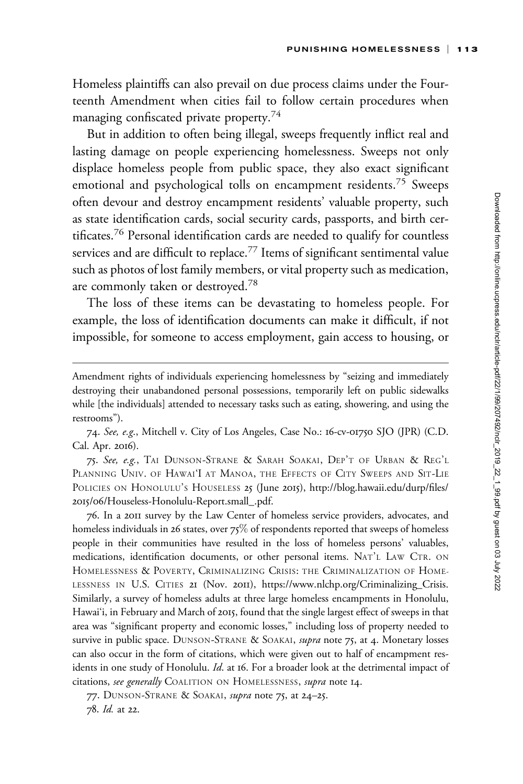Homeless plaintiffs can also prevail on due process claims under the Fourteenth Amendment when cities fail to follow certain procedures when managing confiscated private property.<sup>74</sup>

But in addition to often being illegal, sweeps frequently inflict real and lasting damage on people experiencing homelessness. Sweeps not only displace homeless people from public space, they also exact significant emotional and psychological tolls on encampment residents.<sup>75</sup> Sweeps often devour and destroy encampment residents' valuable property, such as state identification cards, social security cards, passports, and birth certificates.<sup>76</sup> Personal identification cards are needed to qualify for countless services and are difficult to replace.<sup>77</sup> Items of significant sentimental value such as photos of lost family members, or vital property such as medication, are commonly taken or destroyed.<sup>78</sup>

The loss of these items can be devastating to homeless people. For example, the loss of identification documents can make it difficult, if not impossible, for someone to access employment, gain access to housing, or

75. See, e.g., TAI DUNSON-STRANE & SARAH SOAKAI, DEP'T OF URBAN & REG'L PLANNING UNIV. OF HAWAI'I AT MANOA, THE EFFECTS OF CITY SWEEPS AND SIT-LIE POLICIES ON HONOLULU'S HOUSELESS 25 (June 2015), [http://blog.hawaii.edu/durp/files/](http://blog.hawaii.edu/durp/files/2015/06/Houseless-Honolulu-Report.small_.pdf) 2015/06[/Houseless-Honolulu-Report.small\\_.pdf.](http://blog.hawaii.edu/durp/files/2015/06/Houseless-Honolulu-Report.small_.pdf)

76. In a 2011 survey by the Law Center of homeless service providers, advocates, and homeless individuals in 26 states, over 75% of respondents reported that sweeps of homeless people in their communities have resulted in the loss of homeless persons' valuables, medications, identification documents, or other personal items. NAT'L LAW CTR. ON HOMELESSNESS & POVERTY, CRIMINALIZING CRISIS: THE CRIMINALIZATION OF HOME-LESSNESS IN U.S. CITIES 21 (Nov. 2011), [https://www.nlchp.org/Criminalizing\\_Crisis](https://www.nlchp.org/Criminalizing_Crisis). Similarly, a survey of homeless adults at three large homeless encampments in Honolulu, Hawai'i, in February and March of 2015, found that the single largest effect of sweeps in that area was "significant property and economic losses," including loss of property needed to survive in public space. DUNSON-STRANE & SOAKAI, supra note 75, at 4. Monetary losses can also occur in the form of citations, which were given out to half of encampment residents in one study of Honolulu. Id. at 16. For a broader look at the detrimental impact of citations, see generally COALITION ON HOMELESSNESS, supra note 14.

77. DUNSON-STRANE & SOAKAI, supra note 75, at 24-25. 78. Id. at 22.

Amendment rights of individuals experiencing homelessness by "seizing and immediately destroying their unabandoned personal possessions, temporarily left on public sidewalks while [the individuals] attended to necessary tasks such as eating, showering, and using the restrooms").

<sup>74.</sup> See, e.g., Mitchell v. City of Los Angeles, Case No.: 16-cv-01750 SJO (JPR) (C.D. Cal. Apr. 2016).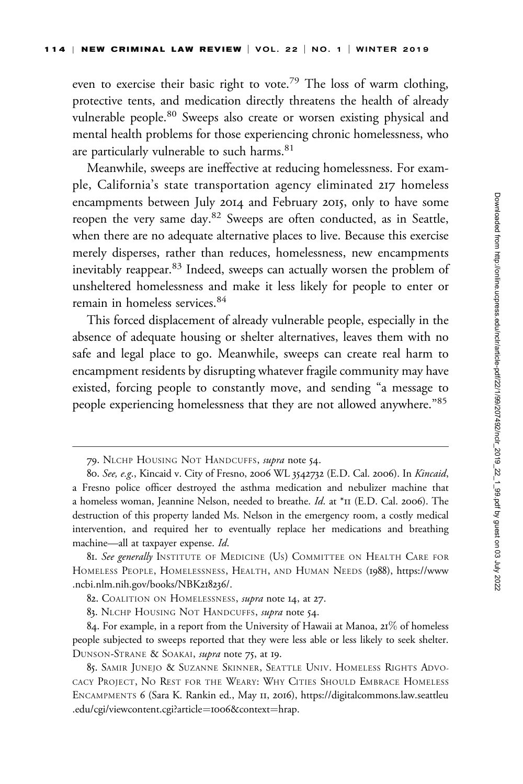even to exercise their basic right to vote.<sup>79</sup> The loss of warm clothing, protective tents, and medication directly threatens the health of already vulnerable people.<sup>80</sup> Sweeps also create or worsen existing physical and mental health problems for those experiencing chronic homelessness, who are particularly vulnerable to such harms.<sup>81</sup>

Meanwhile, sweeps are ineffective at reducing homelessness. For example, California's state transportation agency eliminated 217 homeless encampments between July 2014 and February 2015, only to have some reopen the very same day.<sup>82</sup> Sweeps are often conducted, as in Seattle, when there are no adequate alternative places to live. Because this exercise merely disperses, rather than reduces, homelessness, new encampments inevitably reappear.<sup>83</sup> Indeed, sweeps can actually worsen the problem of unsheltered homelessness and make it less likely for people to enter or remain in homeless services.<sup>84</sup>

This forced displacement of already vulnerable people, especially in the absence of adequate housing or shelter alternatives, leaves them with no safe and legal place to go. Meanwhile, sweeps can create real harm to encampment residents by disrupting whatever fragile community may have existed, forcing people to constantly move, and sending "a message to people experiencing homelessness that they are not allowed anywhere."<sup>85</sup>

<sup>79.</sup> NLCHP HOUSING NOT HANDCUFFS, supra note 54.

<sup>80.</sup> See, e.g., Kincaid v. City of Fresno, 2006 WL 3542732 (E.D. Cal. 2006). In Kincaid, a Fresno police officer destroyed the asthma medication and nebulizer machine that a homeless woman, Jeannine Nelson, needed to breathe. Id. at \*11 (E.D. Cal. 2006). The destruction of this property landed Ms. Nelson in the emergency room, a costly medical intervention, and required her to eventually replace her medications and breathing machine—all at taxpayer expense. Id.

<sup>81.</sup> See generally INSTITUTE OF MEDICINE (US) COMMITTEE ON HEALTH CARE FOR HOMELESS PEOPLE, HOMELESSNESS, HEALTH, AND HUMAN NEEDS (1988), [https://www](https://www.ncbi.nlm.nih.gov/books/NBK218236/) [.ncbi.nlm.nih.gov/books/NBK](https://www.ncbi.nlm.nih.gov/books/NBK218236/)218236/.

<sup>82.</sup> COALITION ON HOMELESSNESS, *supra* note 14, at 27.

<sup>83.</sup> NLCHP HOUSING NOT HANDCUFFS, supra note 54.

<sup>84.</sup> For example, in a report from the University of Hawaii at Manoa,  $21\%$  of homeless people subjected to sweeps reported that they were less able or less likely to seek shelter. DUNSON-STRANE & SOAKAI, supra note 75, at 19.

<sup>85.</sup> SAMIR JUNEJO & SUZANNE SKINNER, SEATTLE UNIV. HOMELESS RIGHTS ADVO-CACY PROJECT, NO REST FOR THE WEARY: WHY CITIES SHOULD EMBRACE HOMELESS ENCAMPMENTS 6 (Sara K. Rankin ed., May 11, 2016), [https://digitalcommons.law.seattleu](https://digitalcommons.law.seattleu.edu/cgi/viewcontent.cgi?article=1006&context=hrap) [.edu/cgi/viewcontent.cgi?article](https://digitalcommons.law.seattleu.edu/cgi/viewcontent.cgi?article=1006&context=hrap)=1006[&context](https://digitalcommons.law.seattleu.edu/cgi/viewcontent.cgi?article=1006&context=hrap)=[hrap](https://digitalcommons.law.seattleu.edu/cgi/viewcontent.cgi?article=1006&context=hrap).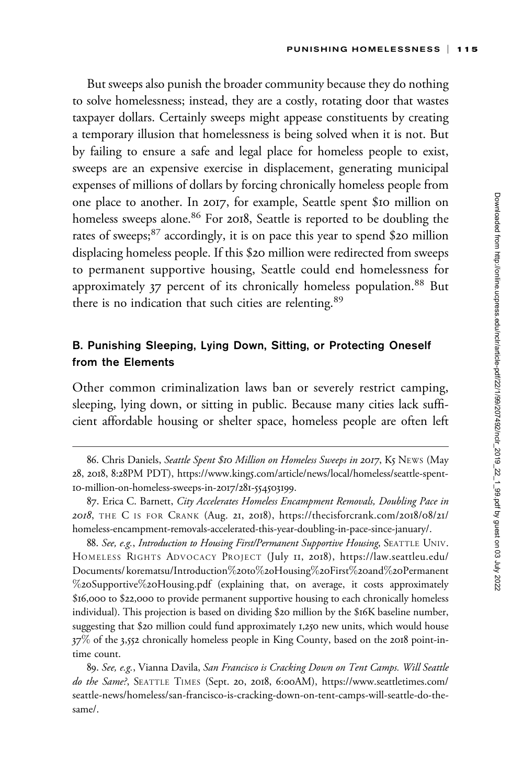But sweeps also punish the broader community because they do nothing to solve homelessness; instead, they are a costly, rotating door that wastes taxpayer dollars. Certainly sweeps might appease constituents by creating a temporary illusion that homelessness is being solved when it is not. But by failing to ensure a safe and legal place for homeless people to exist, sweeps are an expensive exercise in displacement, generating municipal expenses of millions of dollars by forcing chronically homeless people from one place to another. In 2017, for example, Seattle spent \$10 million on homeless sweeps alone.<sup>86</sup> For 2018, Seattle is reported to be doubling the rates of sweeps;<sup>87</sup> accordingly, it is on pace this year to spend \$20 million displacing homeless people. If this \$20 million were redirected from sweeps to permanent supportive housing, Seattle could end homelessness for approximately 37 percent of its chronically homeless population.<sup>88</sup> But there is no indication that such cities are relenting.<sup>89</sup>

## B. Punishing Sleeping, Lying Down, Sitting, or Protecting Oneself from the Elements

Other common criminalization laws ban or severely restrict camping, sleeping, lying down, or sitting in public. Because many cities lack sufficient affordable housing or shelter space, homeless people are often left

88. See, e.g., Introduction to Housing First/Permanent Supportive Housing, SEATTLE UNIV. HOMELESS RIGHTS ADVOCACY PROJECT (July 11, 2018), [https://law.seattleu.edu/](https://law.seattleu.edu/Documents/korematsu/Introduction%20to%2oHousing%20First%20and%20Permanent%20Supportive%20Housing.pdf) [Documents/ korematsu/Introduction](https://law.seattleu.edu/Documents/korematsu/Introduction%20to%2oHousing%20First%20and%20Permanent%20Supportive%20Housing.pdf)%20[to](https://law.seattleu.edu/Documents/korematsu/Introduction%20to%2oHousing%20First%20and%20Permanent%20Supportive%20Housing.pdf)%2[oHousing](https://law.seattleu.edu/Documents/korematsu/Introduction%20to%2oHousing%20First%20and%20Permanent%20Supportive%20Housing.pdf)%20[First](https://law.seattleu.edu/Documents/korematsu/Introduction%20to%2oHousing%20First%20and%20Permanent%20Supportive%20Housing.pdf)%20[and](https://law.seattleu.edu/Documents/korematsu/Introduction%20to%2oHousing%20First%20and%20Permanent%20Supportive%20Housing.pdf)%20[Permanent](https://law.seattleu.edu/Documents/korematsu/Introduction%20to%2oHousing%20First%20and%20Permanent%20Supportive%20Housing.pdf) %20[Supportive](https://law.seattleu.edu/Documents/korematsu/Introduction%20to%2oHousing%20First%20and%20Permanent%20Supportive%20Housing.pdf)%20[Housing.pdf](https://law.seattleu.edu/Documents/korematsu/Introduction%20to%2oHousing%20First%20and%20Permanent%20Supportive%20Housing.pdf) (explaining that, on average, it costs approximately \$16,000 to \$22,000 to provide permanent supportive housing to each chronically homeless individual). This projection is based on dividing \$20 million by the \$16K baseline number, suggesting that \$20 million could fund approximately 1,250 new units, which would house 37% of the 3,552 chronically homeless people in King County, based on the 2018 point-intime count.

89. See, e.g., Vianna Davila, San Francisco is Cracking Down on Tent Camps. Will Seattle do the Same?, SEATTLE TIMES (Sept. 20, 2018, 6:00AM), [https://www.seattletimes.com/](https://www.seattletimes.com/seattle-news/homeless/san-francisco-is-cracking-down-on-tent-camps-will-seattle-do-the-same/) [seattle-news/homeless/san-francisco-is-cracking-down-on-tent-camps-will-seattle-do-the](https://www.seattletimes.com/seattle-news/homeless/san-francisco-is-cracking-down-on-tent-camps-will-seattle-do-the-same/)[same/.](https://www.seattletimes.com/seattle-news/homeless/san-francisco-is-cracking-down-on-tent-camps-will-seattle-do-the-same/)

<sup>86.</sup> Chris Daniels, Seattle Spent \$10 Million on Homeless Sweeps in 2017, K5 NEWS (May 28, 2018, 8:28PM PDT), https://www.king5[.com/article/news/local/homeless/seattle-spent-](https://www.king5.com/article/news/local/homeless/seattle-spent-10-million-on-homeless-sweeps-in-2017/281-554503199)10[-million-on-homeless-sweeps-in-](https://www.king5.com/article/news/local/homeless/seattle-spent-10-million-on-homeless-sweeps-in-2017/281-554503199)2017/281-554503199.

<sup>87.</sup> Erica C. Barnett, City Accelerates Homeless Encampment Removals, Doubling Pace in 2018, THE C IS FOR CRANK (Aug. 21, 2018), [https://thecisforcrank.com/](https://thecisforcrank.com/2018/08/21/homeless-encampment-removals-accelerated-this-year-doubling-in-pace-since-january/.)2018/08/21/ [homeless-encampment-removals-accelerated-this-year-doubling-in-pace-since-january/.](https://thecisforcrank.com/2018/08/21/homeless-encampment-removals-accelerated-this-year-doubling-in-pace-since-january/.)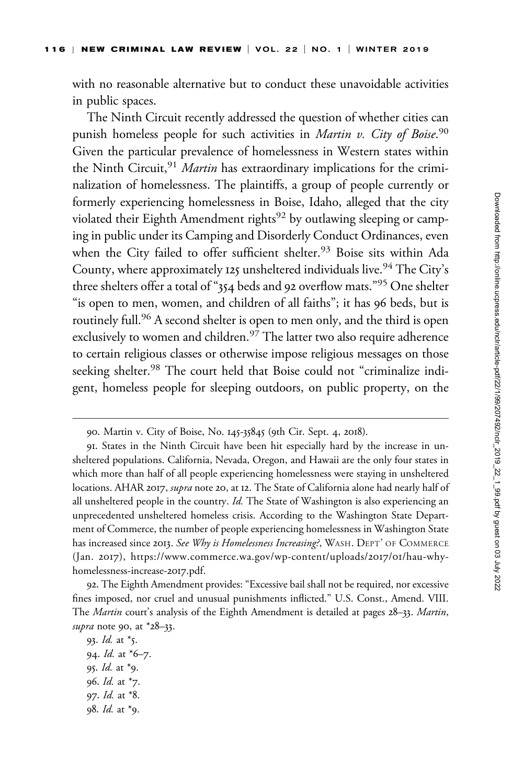with no reasonable alternative but to conduct these unavoidable activities in public spaces.

The Ninth Circuit recently addressed the question of whether cities can punish homeless people for such activities in *Martin v. City of Boise*.<sup>90</sup> Given the particular prevalence of homelessness in Western states within the Ninth Circuit,  $91$  *Martin* has extraordinary implications for the criminalization of homelessness. The plaintiffs, a group of people currently or formerly experiencing homelessness in Boise, Idaho, alleged that the city violated their Eighth Amendment rights<sup>92</sup> by outlawing sleeping or camping in public under its Camping and Disorderly Conduct Ordinances, even when the City failed to offer sufficient shelter.<sup>93</sup> Boise sits within Ada County, where approximately 125 unsheltered individuals live.<sup>94</sup> The City's three shelters offer a total of "354 beds and 92 overflow mats."<sup>95</sup> One shelter "is open to men, women, and children of all faiths"; it has 96 beds, but is routinely full.<sup>96</sup> A second shelter is open to men only, and the third is open exclusively to women and children.<sup>97</sup> The latter two also require adherence to certain religious classes or otherwise impose religious messages on those seeking shelter.<sup>98</sup> The court held that Boise could not "criminalize indigent, homeless people for sleeping outdoors, on public property, on the

93. Id. at \*5. 94. Id. at \*6–7. 95. Id. at \*9. 96. Id. at \*7. 97. Id. at \*8. 98. Id. at \*9.

<sup>90.</sup> Martin v. City of Boise, No. 145-35845 (9th Cir. Sept. 4, 2018).

<sup>91.</sup> States in the Ninth Circuit have been hit especially hard by the increase in unsheltered populations. California, Nevada, Oregon, and Hawaii are the only four states in which more than half of all people experiencing homelessness were staying in unsheltered locations. AHAR 2017, *supra* note 20, at 12. The State of California alone had nearly half of all unsheltered people in the country. Id. The State of Washington is also experiencing an unprecedented unsheltered homeless crisis. According to the Washington State Department of Commerce, the number of people experiencing homelessness in Washington State has increased since 2013. See Why is Homelessness Increasing?, WASH. DEPT' OF COMMERCE (Jan. 2017), [https://www.commerce.wa.gov/wp-content/uploads/](https://www.commerce.wa.gov/wp-content/uploads/2017/01/hau-why-homelessness-increase-2017.pdf)2017/01/hau-why[homelessness-increase-](https://www.commerce.wa.gov/wp-content/uploads/2017/01/hau-why-homelessness-increase-2017.pdf)2017.pdf.

<sup>92.</sup> The Eighth Amendment provides: "Excessive bail shall not be required, nor excessive fines imposed, nor cruel and unusual punishments inflicted." U.S. Const., Amend. VIII. The Martin court's analysis of the Eighth Amendment is detailed at pages 28–33. Martin, supra note 90, at  $*28-33$ .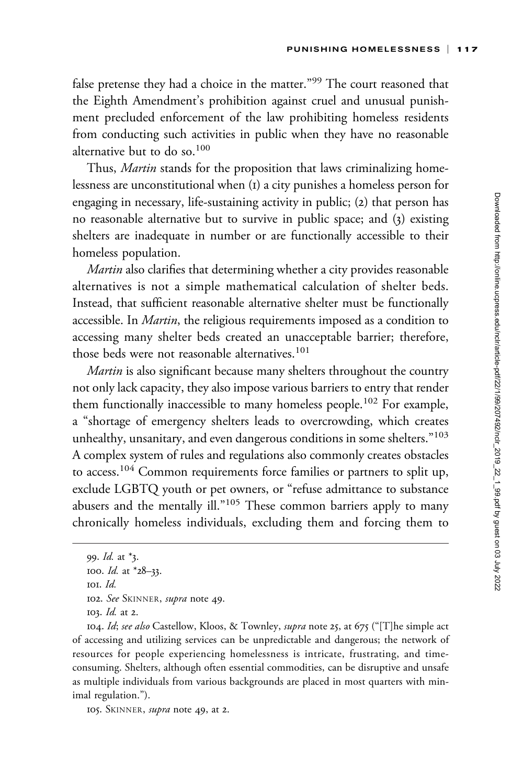false pretense they had a choice in the matter."<sup>99</sup> The court reasoned that the Eighth Amendment's prohibition against cruel and unusual punishment precluded enforcement of the law prohibiting homeless residents from conducting such activities in public when they have no reasonable alternative but to do so.<sup>100</sup>

Thus, *Martin* stands for the proposition that laws criminalizing homelessness are unconstitutional when (1) a city punishes a homeless person for engaging in necessary, life-sustaining activity in public; (2) that person has no reasonable alternative but to survive in public space; and (3) existing shelters are inadequate in number or are functionally accessible to their homeless population.

Martin also clarifies that determining whether a city provides reasonable alternatives is not a simple mathematical calculation of shelter beds. Instead, that sufficient reasonable alternative shelter must be functionally accessible. In *Martin*, the religious requirements imposed as a condition to accessing many shelter beds created an unacceptable barrier; therefore, those beds were not reasonable alternatives.<sup>101</sup>

*Martin* is also significant because many shelters throughout the country not only lack capacity, they also impose various barriers to entry that render them functionally inaccessible to many homeless people.<sup>102</sup> For example, a "shortage of emergency shelters leads to overcrowding, which creates unhealthy, unsanitary, and even dangerous conditions in some shelters."<sup>103</sup> A complex system of rules and regulations also commonly creates obstacles to access.<sup>104</sup> Common requirements force families or partners to split up, exclude LGBTQ youth or pet owners, or "refuse admittance to substance abusers and the mentally ill."<sup>105</sup> These common barriers apply to many chronically homeless individuals, excluding them and forcing them to

105. SKINNER, supra note 49, at 2.

<sup>99.</sup> Id. at \*3.

<sup>100.</sup> Id. at \*28–33.

<sup>101.</sup> Id.

<sup>102.</sup> See SKINNER, supra note 49.

<sup>103.</sup> Id. at 2.

<sup>104.</sup> Id; see also Castellow, Kloos, & Townley, supra note 25, at 675 ("[T]he simple act of accessing and utilizing services can be unpredictable and dangerous; the network of resources for people experiencing homelessness is intricate, frustrating, and timeconsuming. Shelters, although often essential commodities, can be disruptive and unsafe as multiple individuals from various backgrounds are placed in most quarters with minimal regulation.").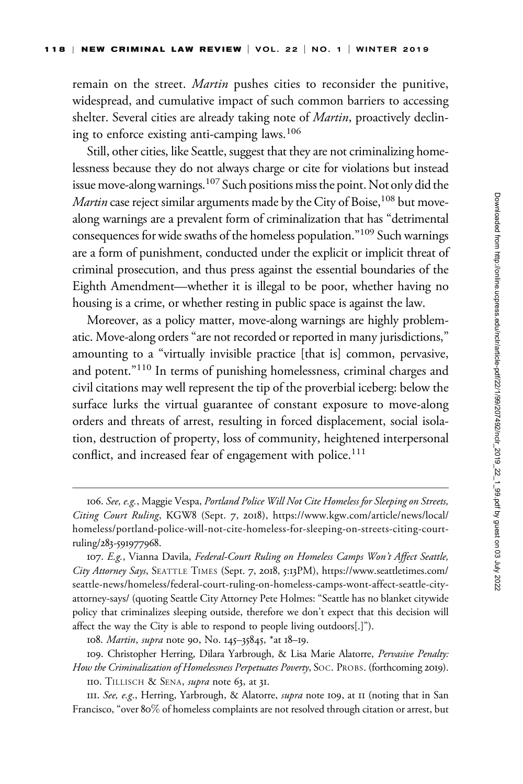remain on the street. Martin pushes cities to reconsider the punitive, widespread, and cumulative impact of such common barriers to accessing shelter. Several cities are already taking note of *Martin*, proactively declining to enforce existing anti-camping laws.<sup>106</sup>

Still, other cities, like Seattle, suggest that they are not criminalizing homelessness because they do not always charge or cite for violations but instead issue move-along warnings.107 Such positions miss the point. Not only did the *Martin* case reject similar arguments made by the City of Boise,  $108$  but movealong warnings are a prevalent form of criminalization that has "detrimental consequences for wide swaths of the homeless population."109 Such warnings are a form of punishment, conducted under the explicit or implicit threat of criminal prosecution, and thus press against the essential boundaries of the Eighth Amendment—whether it is illegal to be poor, whether having no housing is a crime, or whether resting in public space is against the law.

Moreover, as a policy matter, move-along warnings are highly problematic. Move-along orders "are not recorded or reported in many jurisdictions," amounting to a "virtually invisible practice [that is] common, pervasive, and potent."<sup>110</sup> In terms of punishing homelessness, criminal charges and civil citations may well represent the tip of the proverbial iceberg: below the surface lurks the virtual guarantee of constant exposure to move-along orders and threats of arrest, resulting in forced displacement, social isolation, destruction of property, loss of community, heightened interpersonal conflict, and increased fear of engagement with police.<sup>111</sup>

<sup>106.</sup> See, e.g., Maggie Vespa, Portland Police Will Not Cite Homeless for Sleeping on Streets, Citing Court Ruling, KGW8 (Sept. 7, 2018), [https://www.kgw.com/article/news/local/](https://www.kgw.com/article/news/local/homeless/portland-police-will-not-cite-homeless-for-sleeping-on-streets-citing-court-ruling/283-591977968.) [homeless/portland-police-will-not-cite-homeless-for-sleeping-on-streets-citing-court](https://www.kgw.com/article/news/local/homeless/portland-police-will-not-cite-homeless-for-sleeping-on-streets-citing-court-ruling/283-591977968.)ruling/283-[591977968](https://www.kgw.com/article/news/local/homeless/portland-police-will-not-cite-homeless-for-sleeping-on-streets-citing-court-ruling/283-591977968.).

<sup>107.</sup> E.g., Vianna Davila, Federal-Court Ruling on Homeless Camps Won't Affect Seattle, City Attorney Says, SEATTLE TIMES (Sept. 7, 2018, 5:13PM), [https://www.seattletimes.com/](https://www.seattletimes.com/seattle-news/homeless/federal-court-ruling-on-homeless-camps-wont-affect-seattle-city-attorney-says/) [seattle-news/homeless/federal-court-ruling-on-homeless-camps-wont-affect-seattle-city](https://www.seattletimes.com/seattle-news/homeless/federal-court-ruling-on-homeless-camps-wont-affect-seattle-city-attorney-says/)[attorney-says/](https://www.seattletimes.com/seattle-news/homeless/federal-court-ruling-on-homeless-camps-wont-affect-seattle-city-attorney-says/) (quoting Seattle City Attorney Pete Holmes: "Seattle has no blanket citywide policy that criminalizes sleeping outside, therefore we don't expect that this decision will affect the way the City is able to respond to people living outdoors[.]").

<sup>108.</sup> Martin, supra note 90, No. 145–35845, \*at 18–19.

<sup>109.</sup> Christopher Herring, Dilara Yarbrough, & Lisa Marie Alatorre, Pervasive Penalty: How the Criminalization of Homelessness Perpetuates Poverty, SOC. PROBS. (forthcoming 2019). 110. TILLISCH & SENA, *supra* note 63, at 31.

III. See, e.g., Herring, Yarbrough, & Alatorre, supra note 109, at II (noting that in San Francisco, "over 80% of homeless complaints are not resolved through citation or arrest, but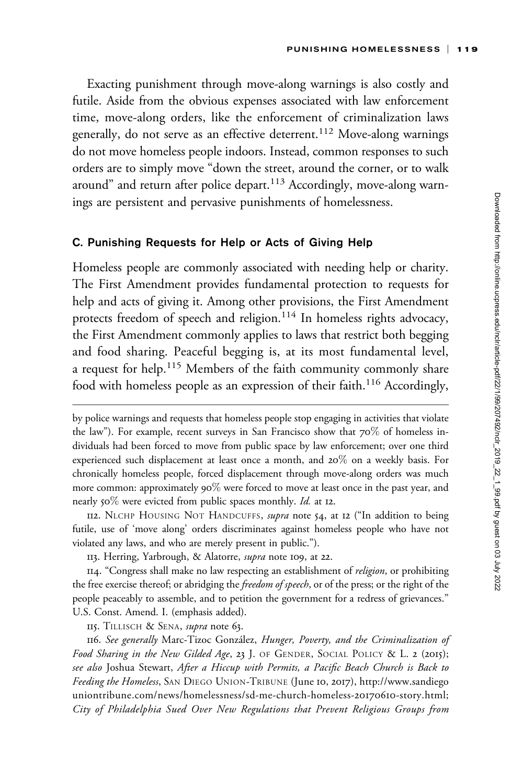Exacting punishment through move-along warnings is also costly and futile. Aside from the obvious expenses associated with law enforcement time, move-along orders, like the enforcement of criminalization laws generally, do not serve as an effective deterrent.<sup>112</sup> Move-along warnings do not move homeless people indoors. Instead, common responses to such orders are to simply move "down the street, around the corner, or to walk around" and return after police depart.<sup>113</sup> Accordingly, move-along warnings are persistent and pervasive punishments of homelessness.

#### C. Punishing Requests for Help or Acts of Giving Help

Homeless people are commonly associated with needing help or charity. The First Amendment provides fundamental protection to requests for help and acts of giving it. Among other provisions, the First Amendment protects freedom of speech and religion.<sup>114</sup> In homeless rights advocacy, the First Amendment commonly applies to laws that restrict both begging and food sharing. Peaceful begging is, at its most fundamental level, a request for help.<sup>115</sup> Members of the faith community commonly share food with homeless people as an expression of their faith.<sup>116</sup> Accordingly,

by police warnings and requests that homeless people stop engaging in activities that violate the law"). For example, recent surveys in San Francisco show that 70% of homeless individuals had been forced to move from public space by law enforcement; over one third experienced such displacement at least once a month, and 20% on a weekly basis. For chronically homeless people, forced displacement through move-along orders was much more common: approximately  $90\%$  were forced to move at least once in the past year, and nearly 50% were evicted from public spaces monthly. Id. at 12.

<sup>112.</sup> NLCHP HOUSING NOT HANDCUFFS, *supra* note 54, at 12 ("In addition to being futile, use of 'move along' orders discriminates against homeless people who have not violated any laws, and who are merely present in public.").

<sup>113.</sup> Herring, Yarbrough, & Alatorre, supra note 109, at 22.

<sup>114. &</sup>quot;Congress shall make no law respecting an establishment of *religion*, or prohibiting the free exercise thereof; or abridging the *freedom of speech*, or of the press; or the right of the people peaceably to assemble, and to petition the government for a redress of grievances." U.S. Const. Amend. I. (emphasis added).

<sup>115.</sup> TILLISCH & SENA, *supra* note 63.

<sup>116.</sup> See generally Marc-Tizoc González, Hunger, Poverty, and the Criminalization of Food Sharing in the New Gilded Age, 23 J. OF GENDER, SOCIAL POLICY & L. 2 (2015); see also Joshua Stewart, After a Hiccup with Permits, a Pacific Beach Church is Back to Feeding the Homeless, SAN DIEGO UNION-TRIBUNE (June 10, 2017), [http://www.sandiego](http://www.sandiegouniontribune.com/news/homelessness/sd-me-church-homeless-20170610-story.html) [uniontribune.com/news/homelessness/sd-me-church-homeless-](http://www.sandiegouniontribune.com/news/homelessness/sd-me-church-homeless-20170610-story.html)20170610-story.html; City of Philadelphia Sued Over New Regulations that Prevent Religious Groups from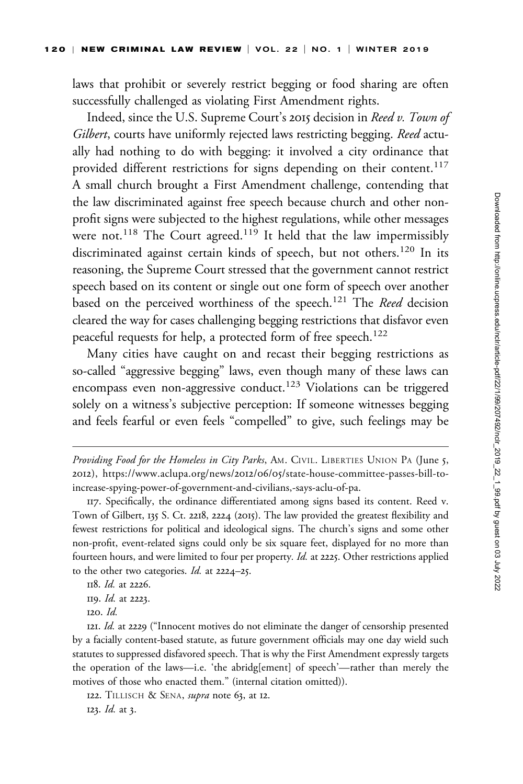laws that prohibit or severely restrict begging or food sharing are often successfully challenged as violating First Amendment rights.

Indeed, since the U.S. Supreme Court's 2015 decision in Reed v. Town of Gilbert, courts have uniformly rejected laws restricting begging. Reed actually had nothing to do with begging: it involved a city ordinance that provided different restrictions for signs depending on their content.<sup>117</sup> A small church brought a First Amendment challenge, contending that the law discriminated against free speech because church and other nonprofit signs were subjected to the highest regulations, while other messages were not.<sup>118</sup> The Court agreed.<sup>119</sup> It held that the law impermissibly discriminated against certain kinds of speech, but not others.<sup>120</sup> In its reasoning, the Supreme Court stressed that the government cannot restrict speech based on its content or single out one form of speech over another based on the perceived worthiness of the speech.<sup>121</sup> The Reed decision cleared the way for cases challenging begging restrictions that disfavor even peaceful requests for help, a protected form of free speech.<sup>122</sup>

Many cities have caught on and recast their begging restrictions as so-called "aggressive begging" laws, even though many of these laws can encompass even non-aggressive conduct.<sup>123</sup> Violations can be triggered solely on a witness's subjective perception: If someone witnesses begging and feels fearful or even feels "compelled" to give, such feelings may be

118. Id. at 2226.

120. Id.

121. Id. at 2229 ("Innocent motives do not eliminate the danger of censorship presented by a facially content-based statute, as future government officials may one day wield such statutes to suppressed disfavored speech. That is why the First Amendment expressly targets the operation of the laws—i.e. 'the abridg[ement] of speech'—rather than merely the motives of those who enacted them." (internal citation omitted)).

122. TILLISCH & SENA, *supra* note 63, at 12.

123. Id. at 3.

Providing Food for the Homeless in City Parks, AM. CIVIL. LIBERTIES UNION PA (June 5, 2012), https://www.aclupa.org/news/2012/06/05[/state-house-committee-passes-bill-to](https://www.aclupa.org/news/2012/06/05/state-house-committee-passes-bill-to-increase-spying-power-of-government-and-civilians,-says-aclu-of-pa)[increase-spying-power-of-government-and-civilians,-says-aclu-of-pa.](https://www.aclupa.org/news/2012/06/05/state-house-committee-passes-bill-to-increase-spying-power-of-government-and-civilians,-says-aclu-of-pa)

<sup>117.</sup> Specifically, the ordinance differentiated among signs based its content. Reed v. Town of Gilbert, 135 S. Ct. 2218, 2224 (2015). The law provided the greatest flexibility and fewest restrictions for political and ideological signs. The church's signs and some other non-profit, event-related signs could only be six square feet, displayed for no more than fourteen hours, and were limited to four per property. Id. at 2225. Other restrictions applied to the other two categories. Id. at 2224–25.

<sup>119.</sup> Id. at 2223.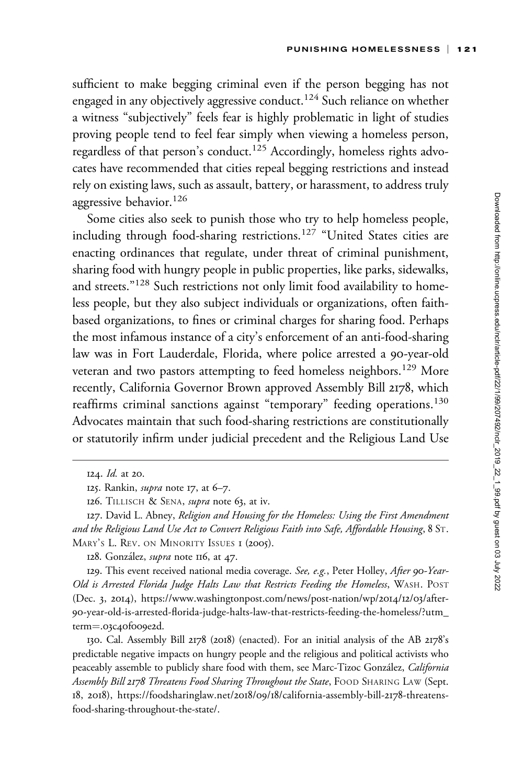sufficient to make begging criminal even if the person begging has not engaged in any objectively aggressive conduct.<sup>124</sup> Such reliance on whether a witness "subjectively" feels fear is highly problematic in light of studies proving people tend to feel fear simply when viewing a homeless person, regardless of that person's conduct.<sup>125</sup> Accordingly, homeless rights advocates have recommended that cities repeal begging restrictions and instead rely on existing laws, such as assault, battery, or harassment, to address truly aggressive behavior.<sup>126</sup>

Some cities also seek to punish those who try to help homeless people, including through food-sharing restrictions.<sup>127</sup> "United States cities are enacting ordinances that regulate, under threat of criminal punishment, sharing food with hungry people in public properties, like parks, sidewalks, and streets."<sup>128</sup> Such restrictions not only limit food availability to homeless people, but they also subject individuals or organizations, often faithbased organizations, to fines or criminal charges for sharing food. Perhaps the most infamous instance of a city's enforcement of an anti-food-sharing law was in Fort Lauderdale, Florida, where police arrested a 90-year-old veteran and two pastors attempting to feed homeless neighbors.<sup>129</sup> More recently, California Governor Brown approved Assembly Bill 2178, which reaffirms criminal sanctions against "temporary" feeding operations.<sup>130</sup> Advocates maintain that such food-sharing restrictions are constitutionally or statutorily infirm under judicial precedent and the Religious Land Use

129. This event received national media coverage. See, e.g., Peter Holley, After 90-Year-Old is Arrested Florida Judge Halts Law that Restricts Feeding the Homeless, WASH. POST (Dec. 3, 2014), [https://www.washingtonpost.com/news/post-nation/wp/](https://www.washingtonpost.com/news/post-nation/wp/2014/12/03/after-90-year-old-is-arrested-florida-judge-halts-law-that-restricts-feeding-the-homeless/?utm_term=.03c40f009e2d)2014/12/03/after-90[-year-old-is-arrested-florida-judge-halts-law-that-restricts-feeding-the-homeless/?utm\\_](https://www.washingtonpost.com/news/post-nation/wp/2014/12/03/after-90-year-old-is-arrested-florida-judge-halts-law-that-restricts-feeding-the-homeless/?utm_term=.03c40f009e2d) [term](https://www.washingtonpost.com/news/post-nation/wp/2014/12/03/after-90-year-old-is-arrested-florida-judge-halts-law-that-restricts-feeding-the-homeless/?utm_term=.03c40f009e2d)=.03c40f[009](https://www.washingtonpost.com/news/post-nation/wp/2014/12/03/after-90-year-old-is-arrested-florida-judge-halts-law-that-restricts-feeding-the-homeless/?utm_term=.03c40f009e2d)e2d.

130. Cal. Assembly Bill 2178 (2018) (enacted). For an initial analysis of the AB 2178's predictable negative impacts on hungry people and the religious and political activists who peaceably assemble to publicly share food with them, see Marc-Tizoc González, California Assembly Bill 2178 Threatens Food Sharing Throughout the State, FOOD SHARING LAW (Sept. 18, 2018), [https://foodsharinglaw.net/](https://foodsharinglaw.net/2018/09/18/california-assembly-bill-2178-threatens-food-sharing-throughout-the-state/)2018/09/18/california-assembly-bill-2178-threatens[food-sharing-throughout-the-state/.](https://foodsharinglaw.net/2018/09/18/california-assembly-bill-2178-threatens-food-sharing-throughout-the-state/)

<sup>124.</sup> Id. at 20.

<sup>125.</sup> Rankin, supra note 17, at 6–7.

<sup>126.</sup> TILLISCH & SENA, *supra* note 63, at iv.

<sup>127.</sup> David L. Abney, Religion and Housing for the Homeless: Using the First Amendment and the Religious Land Use Act to Convert Religious Faith into Safe, Affordable Housing, 8 ST. MARY'S L. REV. ON MINORITY ISSUES I (2005).

<sup>128.</sup> González, *supra* note 116, at 47.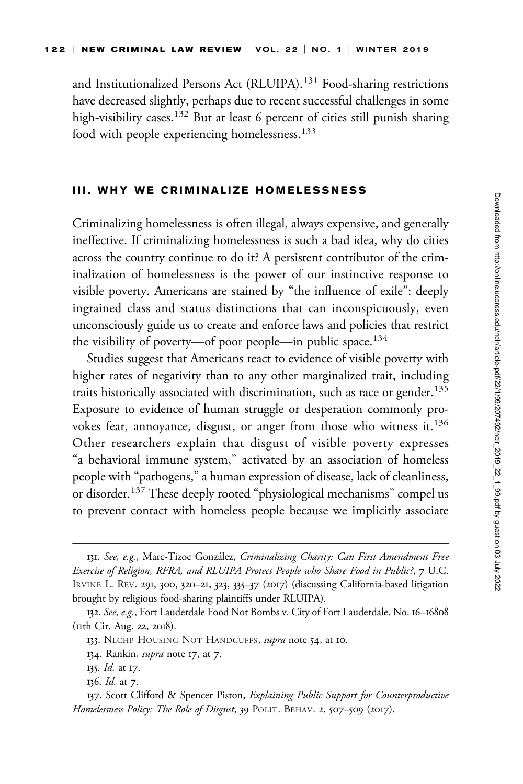and Institutionalized Persons Act (RLUIPA).<sup>131</sup> Food-sharing restrictions have decreased slightly, perhaps due to recent successful challenges in some high-visibility cases.<sup>132</sup> But at least 6 percent of cities still punish sharing food with people experiencing homelessness.<sup>133</sup>

### III. WHY WE CRIMINALIZE HOMELESSNESS

Criminalizing homelessness is often illegal, always expensive, and generally ineffective. If criminalizing homelessness is such a bad idea, why do cities across the country continue to do it? A persistent contributor of the criminalization of homelessness is the power of our instinctive response to visible poverty. Americans are stained by "the influence of exile": deeply ingrained class and status distinctions that can inconspicuously, even unconsciously guide us to create and enforce laws and policies that restrict the visibility of poverty—of poor people—in public space.<sup>134</sup>

Studies suggest that Americans react to evidence of visible poverty with higher rates of negativity than to any other marginalized trait, including traits historically associated with discrimination, such as race or gender.<sup>135</sup> Exposure to evidence of human struggle or desperation commonly provokes fear, annoyance, disgust, or anger from those who witness it.<sup>136</sup> Other researchers explain that disgust of visible poverty expresses "a behavioral immune system," activated by an association of homeless people with "pathogens," a human expression of disease, lack of cleanliness, or disorder.<sup>137</sup> These deeply rooted "physiological mechanisms" compel us to prevent contact with homeless people because we implicitly associate

<sup>131.</sup> See, e.g., Marc-Tizoc González, Criminalizing Charity: Can First Amendment Free Exercise of Religion, RFRA, and RLUIPA Protect People who Share Food in Public?, 7 U.C. IRVINE L. REV. 291, 300, 320–21, 323, 335–37 (2017) (discussing California-based litigation brought by religious food-sharing plaintiffs under RLUIPA).

<sup>132.</sup> See, e.g., Fort Lauderdale Food Not Bombs v. City of Fort Lauderdale, No. 16–16808 (11th Cir. Aug. 22, 2018).

<sup>133.</sup> NLCHP HOUSING NOT HANDCUFFS, supra note 54, at 10.

<sup>134.</sup> Rankin, *supra* note 17, at 7.

<sup>135.</sup> Id. at 17.

<sup>136.</sup> Id. at 7.

<sup>137.</sup> Scott Clifford & Spencer Piston, Explaining Public Support for Counterproductive Homelessness Policy: The Role of Disgust, 39 POLIT. BEHAV. 2, 507-509 (2017).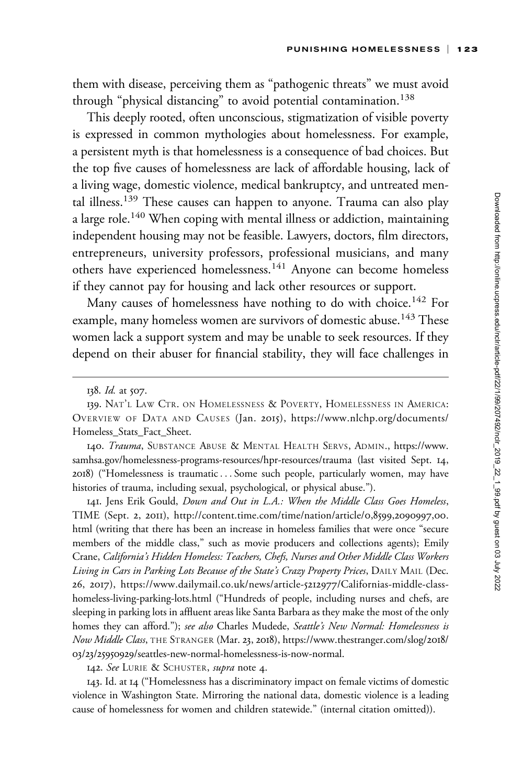them with disease, perceiving them as "pathogenic threats" we must avoid through "physical distancing" to avoid potential contamination.<sup>138</sup>

This deeply rooted, often unconscious, stigmatization of visible poverty is expressed in common mythologies about homelessness. For example, a persistent myth is that homelessness is a consequence of bad choices. But the top five causes of homelessness are lack of affordable housing, lack of a living wage, domestic violence, medical bankruptcy, and untreated mental illness.<sup>139</sup> These causes can happen to anyone. Trauma can also play a large role.<sup>140</sup> When coping with mental illness or addiction, maintaining independent housing may not be feasible. Lawyers, doctors, film directors, entrepreneurs, university professors, professional musicians, and many others have experienced homelessness.<sup>141</sup> Anyone can become homeless if they cannot pay for housing and lack other resources or support.

Many causes of homelessness have nothing to do with choice.<sup>142</sup> For example, many homeless women are survivors of domestic abuse.<sup>143</sup> These women lack a support system and may be unable to seek resources. If they depend on their abuser for financial stability, they will face challenges in

140. Trauma, SUBSTANCE ABUSE & MENTAL HEALTH SERVS, ADMIN., [https://www.](https://www.samhsa.gov/homelessness-programs-resources/hpr-resources/trauma) [samhsa.gov/homelessness-programs-resources/hpr-resources/trauma](https://www.samhsa.gov/homelessness-programs-resources/hpr-resources/trauma) (last visited Sept. 14, 2018) ("Homelessness is traumatic... Some such people, particularly women, may have histories of trauma, including sexual, psychological, or physical abuse.").

141. Jens Erik Gould, Down and Out in L.A.: When the Middle Class Goes Homeless, TIME (Sept. 2, 2011), [http://content.time.com/time/nation/article/](http://content.time.com/time/nation/article/0,8599,2090997,00.html)0,8599,2090997,00. [html](http://content.time.com/time/nation/article/0,8599,2090997,00.html) (writing that there has been an increase in homeless families that were once "secure members of the middle class," such as movie producers and collections agents); Emily Crane, California's Hidden Homeless: Teachers, Chefs, Nurses and Other Middle Class Workers Living in Cars in Parking Lots Because of the State's Crazy Property Prices, DAILY MAIL (Dec. 26, 2017), [https://www.dailymail.co.uk/news/article-](https://www.dailymail.co.uk/news/article-5212977/Californias-middle-class-homeless-living-parking-lots.html)5212977/Californias-middle-class[homeless-living-parking-lots.html](https://www.dailymail.co.uk/news/article-5212977/Californias-middle-class-homeless-living-parking-lots.html) ("Hundreds of people, including nurses and chefs, are sleeping in parking lots in affluent areas like Santa Barbara as they make the most of the only homes they can afford."); see also Charles Mudede, Seattle's New Normal: Homelessness is Now Middle Class, THE STRANGER (Mar. 23, 2018), [https://www.thestranger.com/slog/](https://www.thestranger.com/slog/2018/03/23/25950929/seattles-new-normal-homelessness-is-now-normal)2018/ 03/23/25950929[/seattles-new-normal-homelessness-is-now-normal.](https://www.thestranger.com/slog/2018/03/23/25950929/seattles-new-normal-homelessness-is-now-normal)

142. See LURIE & SCHUSTER, supra note 4.

143. Id. at 14 ("Homelessness has a discriminatory impact on female victims of domestic violence in Washington State. Mirroring the national data, domestic violence is a leading cause of homelessness for women and children statewide." (internal citation omitted)).

<sup>138.</sup> Id. at 507.

<sup>139.</sup> NAT'L LAW CTR. ON HOMELESSNESS & POVERTY, HOMELESSNESS IN AMERICA: OVERVIEW OF DATA AND CAUSES (Jan. 2015), [https://www.nlchp.org/documents/](https://www.nlchp.org/documents/Homeless_Stats_Fact_Sheet) [Homeless\\_Stats\\_Fact\\_Sheet](https://www.nlchp.org/documents/Homeless_Stats_Fact_Sheet).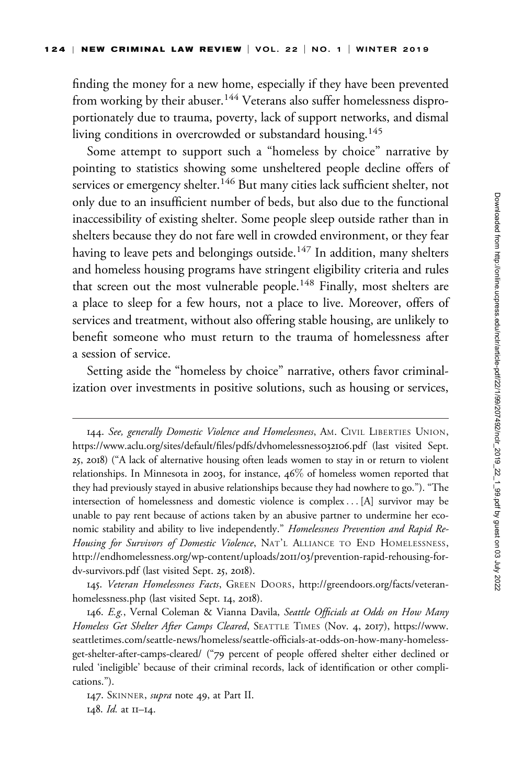finding the money for a new home, especially if they have been prevented from working by their abuser.<sup>144</sup> Veterans also suffer homelessness disproportionately due to trauma, poverty, lack of support networks, and dismal living conditions in overcrowded or substandard housing.<sup>145</sup>

Some attempt to support such a "homeless by choice" narrative by pointing to statistics showing some unsheltered people decline offers of services or emergency shelter.<sup>146</sup> But many cities lack sufficient shelter, not only due to an insufficient number of beds, but also due to the functional inaccessibility of existing shelter. Some people sleep outside rather than in shelters because they do not fare well in crowded environment, or they fear having to leave pets and belongings outside.<sup>147</sup> In addition, many shelters and homeless housing programs have stringent eligibility criteria and rules that screen out the most vulnerable people.<sup>148</sup> Finally, most shelters are a place to sleep for a few hours, not a place to live. Moreover, offers of services and treatment, without also offering stable housing, are unlikely to benefit someone who must return to the trauma of homelessness after a session of service.

Setting aside the "homeless by choice" narrative, others favor criminalization over investments in positive solutions, such as housing or services,

<sup>144.</sup> See, generally Domestic Violence and Homelessness, AM. CIVIL LIBERTIES UNION, [https://www.aclu.org/sites/default/files/pdfs/dvhomelessness](https://www.aclu.org/sites/default/files/pdfs/dvhomelessness032106.pdf)032106.pdf (last visited Sept. 25, 2018) ("A lack of alternative housing often leads women to stay in or return to violent relationships. In Minnesota in 2003, for instance, 46% of homeless women reported that they had previously stayed in abusive relationships because they had nowhere to go."). "The intersection of homelessness and domestic violence is complex ... [A] survivor may be unable to pay rent because of actions taken by an abusive partner to undermine her economic stability and ability to live independently." Homelessness Prevention and Rapid Re-Housing for Survivors of Domestic Violence, NAT'L ALLIANCE TO END HOMELESSNESS, [http://endhomelessness.org/wp-content/uploads/](http://endhomelessness.org/wp-content/uploads/2011/03/prevention-rapid-rehousing-for-dv-survivors.pdf)2011/03/prevention-rapid-rehousing-for[dv-survivors.pdf](http://endhomelessness.org/wp-content/uploads/2011/03/prevention-rapid-rehousing-for-dv-survivors.pdf) (last visited Sept. 25, 2018).

<sup>145.</sup> Veteran Homelessness Facts, GREEN DOORS, [http://greendoors.org/facts/veteran](http://greendoors.org/facts/veteran-homelessness.php)[homelessness.php](http://greendoors.org/facts/veteran-homelessness.php) (last visited Sept. 14, 2018).

<sup>146.</sup> E.g., Vernal Coleman & Vianna Davila, Seattle Officials at Odds on How Many Homeless Get Shelter After Camps Cleared, SEATTLE TIMES (Nov. 4, 2017), [https://www.](https://www.seattletimes.com/seattle-news/homeless/seattle-officials-at-odds-on-how-many-homeless-get-shelter-after-camps-cleared/) [seattletimes.com/seattle-news/homeless/seattle-officials-at-odds-on-how-many-homeless](https://www.seattletimes.com/seattle-news/homeless/seattle-officials-at-odds-on-how-many-homeless-get-shelter-after-camps-cleared/)[get-shelter-after-camps-cleared/](https://www.seattletimes.com/seattle-news/homeless/seattle-officials-at-odds-on-how-many-homeless-get-shelter-after-camps-cleared/) ("79 percent of people offered shelter either declined or ruled 'ineligible' because of their criminal records, lack of identification or other complications.").

<sup>147.</sup> SKINNER, *supra* note 49, at Part II. 148. Id. at 11–14.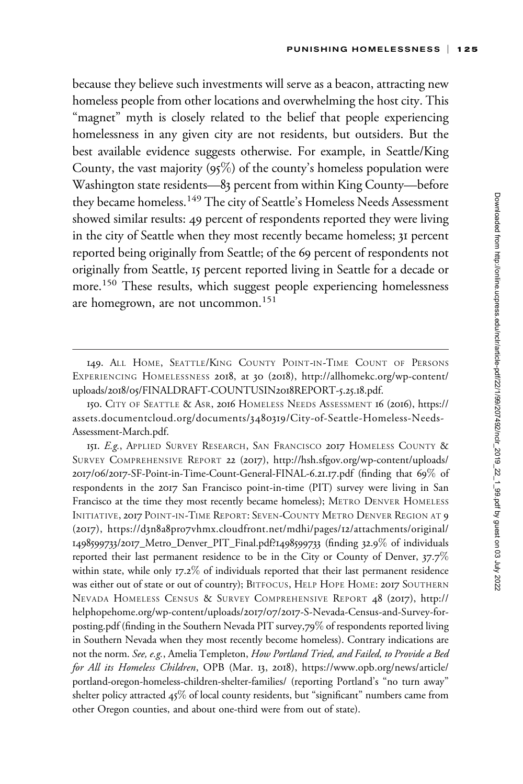because they believe such investments will serve as a beacon, attracting new homeless people from other locations and overwhelming the host city. This "magnet" myth is closely related to the belief that people experiencing homelessness in any given city are not residents, but outsiders. But the best available evidence suggests otherwise. For example, in Seattle/King County, the vast majority  $(95\%)$  of the county's homeless population were Washington state residents—83 percent from within King County—before they became homeless.<sup>149</sup> The city of Seattle's Homeless Needs Assessment showed similar results: 49 percent of respondents reported they were living in the city of Seattle when they most recently became homeless; 31 percent reported being originally from Seattle; of the 69 percent of respondents not originally from Seattle, 15 percent reported living in Seattle for a decade or more.<sup>150</sup> These results, which suggest people experiencing homelessness are homegrown, are not uncommon.<sup>151</sup>

<sup>149.</sup> ALL HOME, SEATTLE/KING COUNTY POINT-IN-TIME COUNT OF PERSONS EXPERIENCING HOMELESSNESS 2018, at 30 (2018), [http://allhomekc.org/wp-content/](http://allhomekc.org/wp-content/uploads/2018/05/FINALDRAFT-COUNTUSIN2018REPORT-5.25.18.pdf) uploads/2018/05[/FINALDRAFT-COUNTUSIN](http://allhomekc.org/wp-content/uploads/2018/05/FINALDRAFT-COUNTUSIN2018REPORT-5.25.18.pdf)2018REPORT-5.25.18.pdf.

<sup>150.</sup> CITY OF SEATTLE & ASR, 2016 HOMELESS NEEDS ASSESSMENT 16 (2016), [https://](https://assets.documentcloud.org/documents/3480319/City-of-Seattle-Homeless-Needs-Assessment-March.pdf) [assets.documentcloud.org/documents/](https://assets.documentcloud.org/documents/3480319/City-of-Seattle-Homeless-Needs-Assessment-March.pdf)3480319/City-of-Seattle-Homeless-Needs-[Assessment-March.pdf.](https://assets.documentcloud.org/documents/3480319/City-of-Seattle-Homeless-Needs-Assessment-March.pdf)

<sup>151.</sup> E.g., APPLIED SURVEY RESEARCH, SAN FRANCISCO 2017 HOMELESS COUNTY & SURVEY COMPREHENSIVE REPORT 22 (2017), [http://hsh.sfgov.org/wp-content/uploads/](http://hsh.sfgov.org/wp-content/uploads/2017/06/2017-SF-Point-in-Time-Count-General-FINAL-6.21.17.pdf) 2017/06/2017[-SF-Point-in-Time-Count-General-FINAL-](http://hsh.sfgov.org/wp-content/uploads/2017/06/2017-SF-Point-in-Time-Count-General-FINAL-6.21.17.pdf)6.21.17.pdf (finding that 69% of respondents in the 2017 San Francisco point-in-time (PIT) survey were living in San Francisco at the time they most recently became homeless); METRO DENVER HOMELESS INITIATIVE, 2017 POINT-IN-TIME REPORT: SEVEN-COUNTY METRO DENVER REGION AT 9 (2017), https://d3n8a8pro7[vhmx.cloudfront.net/mdhi/pages/](https://d3n8a8pro7vhmx.cloudfront.net/mdhi/pages/12/attachments/original/1498599733/2017_Metro_Denver_PIT_Final.pdf?1498599733)12/attachments/original/ 1498599733/2017[\\_Metro\\_Denver\\_PIT\\_Final.pdf?](https://d3n8a8pro7vhmx.cloudfront.net/mdhi/pages/12/attachments/original/1498599733/2017_Metro_Denver_PIT_Final.pdf?1498599733)1498599733 (finding 32.9% of individuals reported their last permanent residence to be in the City or County of Denver, 37.7% within state, while only 17.2% of individuals reported that their last permanent residence was either out of state or out of country); BITFOCUS, HELP HOPE HOME: 2017 SOUTHERN NEVADA HOMELESS CENSUS & SURVEY COMPREHENSIVE REPORT 48 (2017), [http://](http://helphopehome.org/wp-content/uploads/2017/07/2017-S-Nevada-Census-and-Survey-for-posting.pdf) [helphopehome.org/wp-content/uploads/](http://helphopehome.org/wp-content/uploads/2017/07/2017-S-Nevada-Census-and-Survey-for-posting.pdf)2017/07/2017-S-Nevada-Census-and-Survey-for[posting.pdf](http://helphopehome.org/wp-content/uploads/2017/07/2017-S-Nevada-Census-and-Survey-for-posting.pdf) (finding in the Southern Nevada PIT survey,79% of respondents reported living in Southern Nevada when they most recently become homeless). Contrary indications are not the norm. See, e.g., Amelia Templeton, How Portland Tried, and Failed, to Provide a Bed for All its Homeless Children, OPB (Mar. 13, 2018), [https://www.opb.org/news/article/](https://www.opb.org/news/article/portland-oregon-homeless-children-shelter-families/) [portland-oregon-homeless-children-shelter-families/](https://www.opb.org/news/article/portland-oregon-homeless-children-shelter-families/) (reporting Portland's "no turn away" shelter policy attracted 45% of local county residents, but "significant" numbers came from other Oregon counties, and about one-third were from out of state).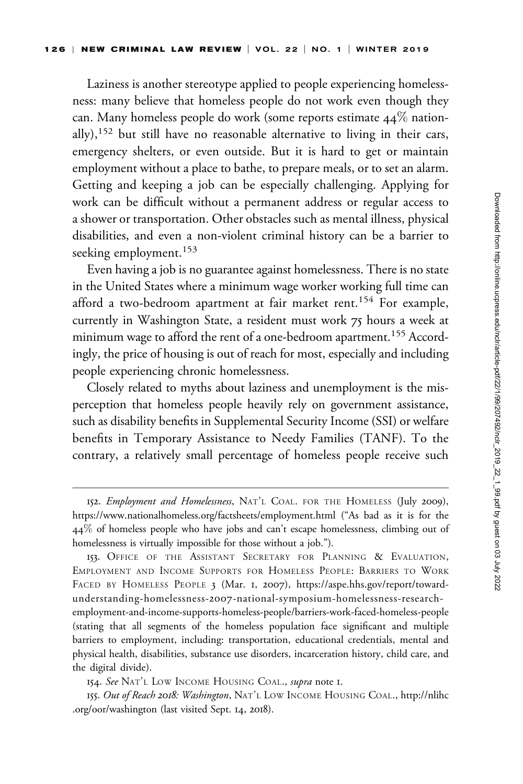Laziness is another stereotype applied to people experiencing homelessness: many believe that homeless people do not work even though they can. Many homeless people do work (some reports estimate 44% nationally),<sup>152</sup> but still have no reasonable alternative to living in their cars, emergency shelters, or even outside. But it is hard to get or maintain employment without a place to bathe, to prepare meals, or to set an alarm. Getting and keeping a job can be especially challenging. Applying for work can be difficult without a permanent address or regular access to a shower or transportation. Other obstacles such as mental illness, physical disabilities, and even a non-violent criminal history can be a barrier to seeking employment.<sup>153</sup>

Even having a job is no guarantee against homelessness. There is no state in the United States where a minimum wage worker working full time can afford a two-bedroom apartment at fair market rent.<sup>154</sup> For example, currently in Washington State, a resident must work 75 hours a week at minimum wage to afford the rent of a one-bedroom apartment.<sup>155</sup> Accordingly, the price of housing is out of reach for most, especially and including people experiencing chronic homelessness.

Closely related to myths about laziness and unemployment is the misperception that homeless people heavily rely on government assistance, such as disability benefits in Supplemental Security Income (SSI) or welfare benefits in Temporary Assistance to Needy Families (TANF). To the contrary, a relatively small percentage of homeless people receive such

[employment-and-income-supports-homeless-people/barriers-work-faced-homeless-people](https://aspe.hhs.gov/report/toward-understanding-homelessness-2007-national-symposium-homelessness-research-employment-and-income-supports-homeless-people/barriers-work-faced-homeless-people) (stating that all segments of the homeless population face significant and multiple barriers to employment, including: transportation, educational credentials, mental and physical health, disabilities, substance use disorders, incarceration history, child care, and the digital divide).

154. See NAT'L LOW INCOME HOUSING COAL., supra note I.

155. Out of Reach 2018: Washington, NAT'L LOW INCOME HOUSING COAL., [http://nlihc](http://nlihc.org/oor/washington) [.org/oor/washington](http://nlihc.org/oor/washington) (last visited Sept. 14, 2018).

<sup>152.</sup> Employment and Homelessness, NAT'L COAL. FOR THE HOMELESS (July 2009), <https://www.nationalhomeless.org/factsheets/employment.html> ("As bad as it is for the 44% of homeless people who have jobs and can't escape homelessness, climbing out of homelessness is virtually impossible for those without a job.").

<sup>153.</sup> OFFICE OF THE ASSISTANT SECRETARY FOR PLANNING & EVALUATION, EMPLOYMENT AND INCOME SUPPORTS FOR HOMELESS PEOPLE: BARRIERS TO WORK FACED BY HOMELESS PEOPLE 3 (Mar. 1, 2007), [https://aspe.hhs.gov/report/toward](https://aspe.hhs.gov/report/toward-understanding-homelessness-2007-national-symposium-homelessness-research-employment-and-income-supports-homeless-people/barriers-work-faced-homeless-people)understanding-homelessness-2007[-national-symposium-homelessness-research-](https://aspe.hhs.gov/report/toward-understanding-homelessness-2007-national-symposium-homelessness-research-employment-and-income-supports-homeless-people/barriers-work-faced-homeless-people)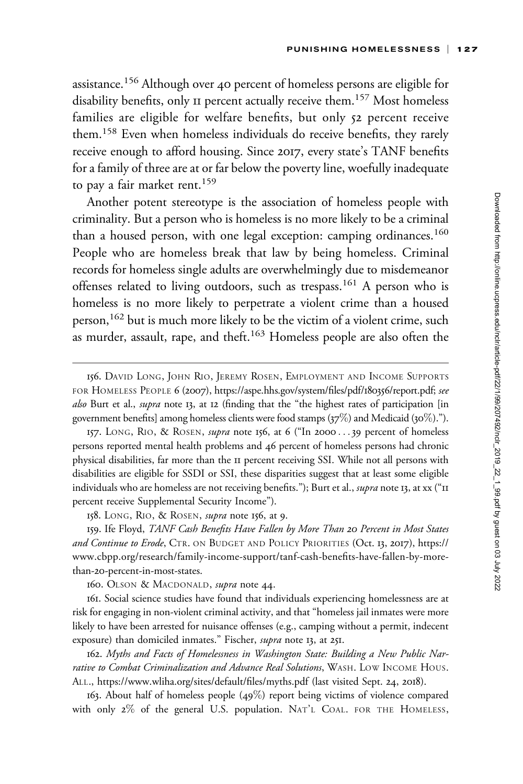assistance.<sup>156</sup> Although over 40 percent of homeless persons are eligible for disability benefits, only II percent actually receive them.<sup>157</sup> Most homeless families are eligible for welfare benefits, but only 52 percent receive them.<sup>158</sup> Even when homeless individuals do receive benefits, they rarely receive enough to afford housing. Since 2017, every state's TANF benefits for a family of three are at or far below the poverty line, woefully inadequate to pay a fair market rent.<sup>159</sup>

Another potent stereotype is the association of homeless people with criminality. But a person who is homeless is no more likely to be a criminal than a housed person, with one legal exception: camping ordinances.<sup>160</sup> People who are homeless break that law by being homeless. Criminal records for homeless single adults are overwhelmingly due to misdemeanor offenses related to living outdoors, such as trespass.<sup>161</sup> A person who is homeless is no more likely to perpetrate a violent crime than a housed person,<sup>162</sup> but is much more likely to be the victim of a violent crime, such as murder, assault, rape, and theft.163 Homeless people are also often the

158. LONG, RIO, & ROSEN, *supra* note 156, at 9.

159. Ife Floyd, TANF Cash Benefits Have Fallen by More Than 20 Percent in Most States and Continue to Erode, CTR. ON BUDGET AND POLICY PRIORITIES (Oct. 13, 2017), [https://](https://www.cbpp.org/research/family-income-support/tanf-cash-benefits-have-fallen-by-more-than-20-percent-in-most-states) [www.cbpp.org/research/family-income-support/tanf-cash-benefits-have-fallen-by-more](https://www.cbpp.org/research/family-income-support/tanf-cash-benefits-have-fallen-by-more-than-20-percent-in-most-states)than-20[-percent-in-most-states](https://www.cbpp.org/research/family-income-support/tanf-cash-benefits-have-fallen-by-more-than-20-percent-in-most-states).

160. OLSON & MACDONALD, *supra* note 44.

161. Social science studies have found that individuals experiencing homelessness are at risk for engaging in non-violent criminal activity, and that "homeless jail inmates were more likely to have been arrested for nuisance offenses (e.g., camping without a permit, indecent exposure) than domiciled inmates." Fischer, supra note 13, at 251.

162. Myths and Facts of Homelessness in Washington State: Building a New Public Narrative to Combat Criminalization and Advance Real Solutions, WASH. LOW INCOME HOUS. ALL.,<https://www.wliha.org/sites/default/files/myths.pdf> (last visited Sept. 24, 2018).

163. About half of homeless people (49%) report being victims of violence compared with only 2% of the general U.S. population. NAT'L COAL. FOR THE HOMELESS,

<sup>156.</sup> DAVID LONG, JOHN RIO, JEREMY ROSEN, EMPLOYMENT AND INCOME SUPPORTS FOR HOMELESS PEOPLE 6 (2007), [https://aspe.hhs.gov/system/files/pdf/](https://aspe.hhs.gov/system/files/pdf/180356/report.pdf)180356/report.pdf; see also Burt et al., supra note 13, at 12 (finding that the "the highest rates of participation [in government benefits] among homeless clients were food stamps (37%) and Medicaid (30%).").

<sup>157.</sup> LONG, RIO, & ROSEN, *supra* note 156, at 6 ("In 2000...39 percent of homeless persons reported mental health problems and 46 percent of homeless persons had chronic physical disabilities, far more than the 11 percent receiving SSI. While not all persons with disabilities are eligible for SSDI or SSI, these disparities suggest that at least some eligible individuals who are homeless are not receiving benefits."); Burt et al., *supra* note 13, at xx ("II percent receive Supplemental Security Income").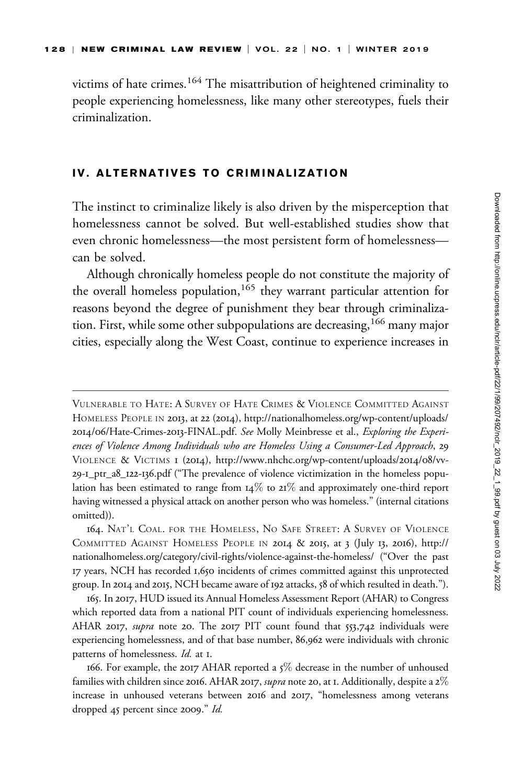victims of hate crimes.<sup>164</sup> The misattribution of heightened criminality to people experiencing homelessness, like many other stereotypes, fuels their criminalization.

### IV. ALTERNATIVES TO CRIMINALIZATION

The instinct to criminalize likely is also driven by the misperception that homelessness cannot be solved. But well-established studies show that even chronic homelessness—the most persistent form of homelessness can be solved.

Although chronically homeless people do not constitute the majority of the overall homeless population,<sup>165</sup> they warrant particular attention for reasons beyond the degree of punishment they bear through criminalization. First, while some other subpopulations are decreasing,<sup>166</sup> many major cities, especially along the West Coast, continue to experience increases in

165. In 2017, HUD issued its Annual Homeless Assessment Report (AHAR) to Congress which reported data from a national PIT count of individuals experiencing homelessness. AHAR 2017, supra note 20. The 2017 PIT count found that 553,742 individuals were experiencing homelessness, and of that base number, 86,962 were individuals with chronic patterns of homelessness. Id. at 1.

VULNERABLE TO HATE: A SURVEY OF HATE CRIMES & VIOLENCE COMMITTED AGAINST HOMELESS PEOPLE IN 2013, at 22 (2014), [http://nationalhomeless.org/wp-content/uploads/](http://nationalhomeless.org/wp-content/uploads/2014/06/Hate-Crimes-2013-FINAL.pdf) 2014/06[/Hate-Crimes-](http://nationalhomeless.org/wp-content/uploads/2014/06/Hate-Crimes-2013-FINAL.pdf)2013-FINAL.pdf. See Molly Meinbresse et al., Exploring the Experiences of Violence Among Individuals who are Homeless Using a Consumer-Led Approach, 29 VIOLENCE & VICTIMS 1 (2014), [http://www.nhchc.org/wp-content/uploads/](http://www.nhchc.org/wp-content/uploads/2014/08/vv-29-1_ptr_a8_122-136.pdf)2014/08/vv-29-1[\\_ptr\\_a](http://www.nhchc.org/wp-content/uploads/2014/08/vv-29-1_ptr_a8_122-136.pdf)8\_122-136.pdf ("The prevalence of violence victimization in the homeless population has been estimated to range from 14% to 21% and approximately one-third report having witnessed a physical attack on another person who was homeless." (internal citations omitted)).

<sup>164.</sup> NAT'L COAL. FOR THE HOMELESS, NO SAFE STREET: A SURVEY OF VIOLENCE COMMITTED AGAINST HOMELESS PEOPLE IN 2014 & 2015, at 3 (July 13, 2016), [http://](http://nationalhomeless.org/category/civil-rights/violence-against-the-homeless/) [nationalhomeless.org/category/civil-rights/violence-against-the-homeless/](http://nationalhomeless.org/category/civil-rights/violence-against-the-homeless/) ("Over the past 17 years, NCH has recorded 1,650 incidents of crimes committed against this unprotected group. In 2014 and 2015, NCH became aware of 192 attacks, 58 of which resulted in death.").

<sup>166.</sup> For example, the 2017 AHAR reported a 5% decrease in the number of unhoused families with children since 2016. AHAR 2017, *supra* note 20, at 1. Additionally, despite a  $2\%$ increase in unhoused veterans between 2016 and 2017, "homelessness among veterans dropped 45 percent since 2009." Id.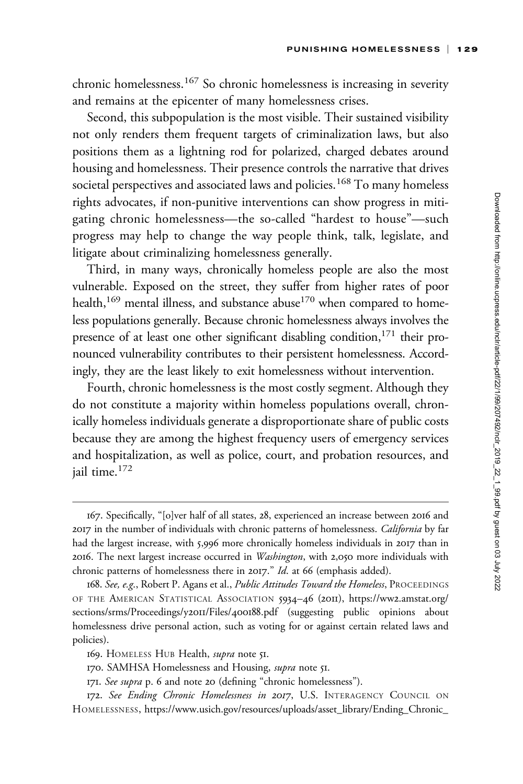chronic homelessness.<sup>167</sup> So chronic homelessness is increasing in severity and remains at the epicenter of many homelessness crises.

Second, this subpopulation is the most visible. Their sustained visibility not only renders them frequent targets of criminalization laws, but also positions them as a lightning rod for polarized, charged debates around housing and homelessness. Their presence controls the narrative that drives societal perspectives and associated laws and policies.<sup>168</sup> To many homeless rights advocates, if non-punitive interventions can show progress in mitigating chronic homelessness—the so-called "hardest to house"—such progress may help to change the way people think, talk, legislate, and litigate about criminalizing homelessness generally.

Third, in many ways, chronically homeless people are also the most vulnerable. Exposed on the street, they suffer from higher rates of poor health,<sup>169</sup> mental illness, and substance abuse<sup>170</sup> when compared to homeless populations generally. Because chronic homelessness always involves the presence of at least one other significant disabling condition, $171$  their pronounced vulnerability contributes to their persistent homelessness. Accordingly, they are the least likely to exit homelessness without intervention.

Fourth, chronic homelessness is the most costly segment. Although they do not constitute a majority within homeless populations overall, chronically homeless individuals generate a disproportionate share of public costs because they are among the highest frequency users of emergency services and hospitalization, as well as police, court, and probation resources, and jail time.<sup>172</sup>

- 170. SAMHSA Homelessness and Housing, supra note 51.
- 171. See supra p. 6 and note 20 (defining "chronic homelessness").

<sup>167.</sup> Specifically, "[o]ver half of all states, 28, experienced an increase between 2016 and 2017 in the number of individuals with chronic patterns of homelessness. *California* by far had the largest increase, with 5,996 more chronically homeless individuals in 2017 than in 2016. The next largest increase occurred in Washington, with 2,050 more individuals with chronic patterns of homelessness there in 2017." Id. at 66 (emphasis added).

<sup>168.</sup> See, e.g., Robert P. Agans et al., Public Attitudes Toward the Homeless, PROCEEDINGS OF THE AMERICAN STATISTICAL ASSOCIATION 5934–46 (2011), https://ww2[.amstat.org/](https://ww2.amstat.org/sections/srms/Proceedings/y2011/Files/400188.pdf) [sections/srms/Proceedings/y](https://ww2.amstat.org/sections/srms/Proceedings/y2011/Files/400188.pdf)2011/Files/400188.pdf (suggesting public opinions about homelessness drive personal action, such as voting for or against certain related laws and policies).

<sup>169.</sup> HOMELESS HUB Health, *supra* note 51.

<sup>172.</sup> See Ending Chronic Homelessness in 2017, U.S. INTERAGENCY COUNCIL ON HOMELESSNESS, [https://www.usich.gov/resources/uploads/asset\\_library/Ending\\_Chronic\\_](https://www.usich.gov/resources/uploads/asset_library/Ending_Chronic_Homelessness_in_2017.pdf)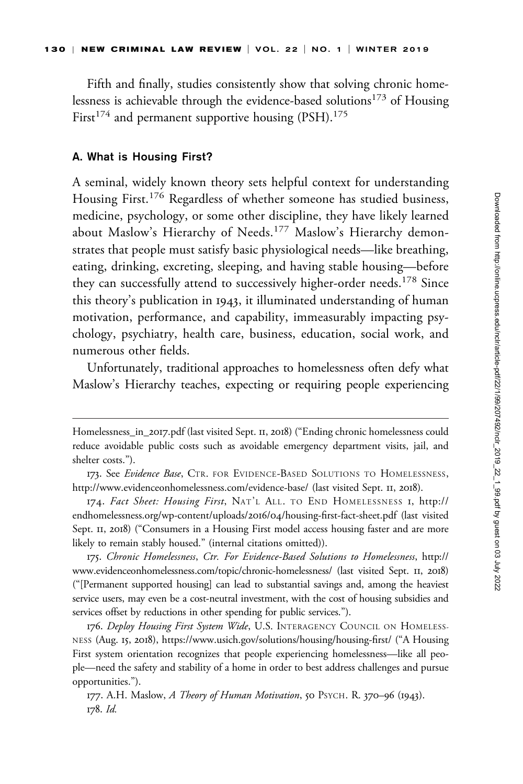Fifth and finally, studies consistently show that solving chronic homelessness is achievable through the evidence-based solutions<sup>173</sup> of Housing First<sup>174</sup> and permanent supportive housing  $(PSH).$ <sup>175</sup>

#### A. What is Housing First?

A seminal, widely known theory sets helpful context for understanding Housing First.<sup>176</sup> Regardless of whether someone has studied business, medicine, psychology, or some other discipline, they have likely learned about Maslow's Hierarchy of Needs.<sup>177</sup> Maslow's Hierarchy demonstrates that people must satisfy basic physiological needs—like breathing, eating, drinking, excreting, sleeping, and having stable housing—before they can successfully attend to successively higher-order needs.<sup>178</sup> Since this theory's publication in 1943, it illuminated understanding of human motivation, performance, and capability, immeasurably impacting psychology, psychiatry, health care, business, education, social work, and numerous other fields.

Unfortunately, traditional approaches to homelessness often defy what Maslow's Hierarchy teaches, expecting or requiring people experiencing

175. Chronic Homelessness, Ctr. For Evidence-Based Solutions to Homelessness, [http://](http://www.evidenceonhomelessness.com/topic/chronic-homelessness/) [www.evidenceonhomelessness.com/topic/chronic-homelessness/](http://www.evidenceonhomelessness.com/topic/chronic-homelessness/) (last visited Sept. 11, 2018) ("[Permanent supported housing] can lead to substantial savings and, among the heaviest service users, may even be a cost-neutral investment, with the cost of housing subsidies and services offset by reductions in other spending for public services.").

176. Deploy Housing First System Wide, U.S. INTERAGENCY COUNCIL ON HOMELESS-NESS (Aug. 15, 2018),<https://www.usich.gov/solutions/housing/housing-first/> ("A Housing First system orientation recognizes that people experiencing homelessness—like all people—need the safety and stability of a home in order to best address challenges and pursue opportunities.").

[Homelessness\\_in\\_](https://www.usich.gov/resources/uploads/asset_library/Ending_Chronic_Homelessness_in_2017.pdf)2017.pdf (last visited Sept. 11, 2018) ("Ending chronic homelessness could reduce avoidable public costs such as avoidable emergency department visits, jail, and shelter costs.").

<sup>173.</sup> See Evidence Base, CTR. FOR EVIDENCE-BASED SOLUTIONS TO HOMELESSNESS, <http://www.evidenceonhomelessness.com/evidence-base/> (last visited Sept. 11, 2018).

<sup>174.</sup> Fact Sheet: Housing First, NAT'L ALL. TO END HOMELESSNESS 1, [http://](http://endhomelessness.org/wp-content/uploads/2016/04/housing-first-fact-sheet.pdf) [endhomelessness.org/wp-content/uploads/](http://endhomelessness.org/wp-content/uploads/2016/04/housing-first-fact-sheet.pdf)2016/04/housing-first-fact-sheet.pdf (last visited Sept. 11, 2018) ("Consumers in a Housing First model access housing faster and are more likely to remain stably housed." (internal citations omitted)).

<sup>177.</sup> A.H. Maslow, A Theory of Human Motivation, 50 PSYCH. R. 370-96 (1943). 178. Id.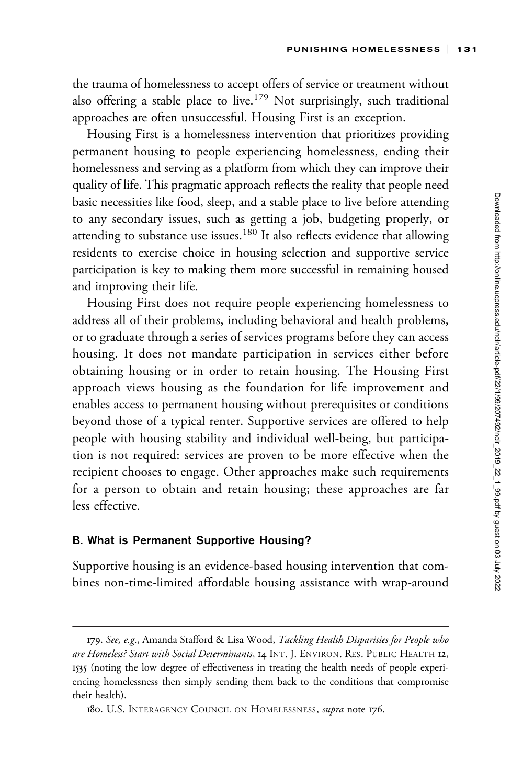the trauma of homelessness to accept offers of service or treatment without also offering a stable place to live.<sup>179</sup> Not surprisingly, such traditional approaches are often unsuccessful. Housing First is an exception.

Housing First is a homelessness intervention that prioritizes providing permanent housing to people experiencing homelessness, ending their homelessness and serving as a platform from which they can improve their quality of life. This pragmatic approach reflects the reality that people need basic necessities like food, sleep, and a stable place to live before attending to any secondary issues, such as getting a job, budgeting properly, or attending to substance use issues.<sup>180</sup> It also reflects evidence that allowing residents to exercise choice in housing selection and supportive service participation is key to making them more successful in remaining housed and improving their life.

Housing First does not require people experiencing homelessness to address all of their problems, including behavioral and health problems, or to graduate through a series of services programs before they can access housing. It does not mandate participation in services either before obtaining housing or in order to retain housing. The Housing First approach views housing as the foundation for life improvement and enables access to permanent housing without prerequisites or conditions beyond those of a typical renter. Supportive services are offered to help people with housing stability and individual well-being, but participation is not required: services are proven to be more effective when the recipient chooses to engage. Other approaches make such requirements for a person to obtain and retain housing; these approaches are far less effective.

### B. What is Permanent Supportive Housing?

Supportive housing is an evidence-based housing intervention that combines non-time-limited affordable housing assistance with wrap-around

<sup>179.</sup> See, e.g., Amanda Stafford & Lisa Wood, Tackling Health Disparities for People who are Homeless? Start with Social Determinants, 14 INT. J. ENVIRON. RES. PUBLIC HEALTH 12, 1535 (noting the low degree of effectiveness in treating the health needs of people experiencing homelessness then simply sending them back to the conditions that compromise their health).

<sup>180.</sup> U.S. INTERAGENCY COUNCIL ON HOMELESSNESS, supra note 176.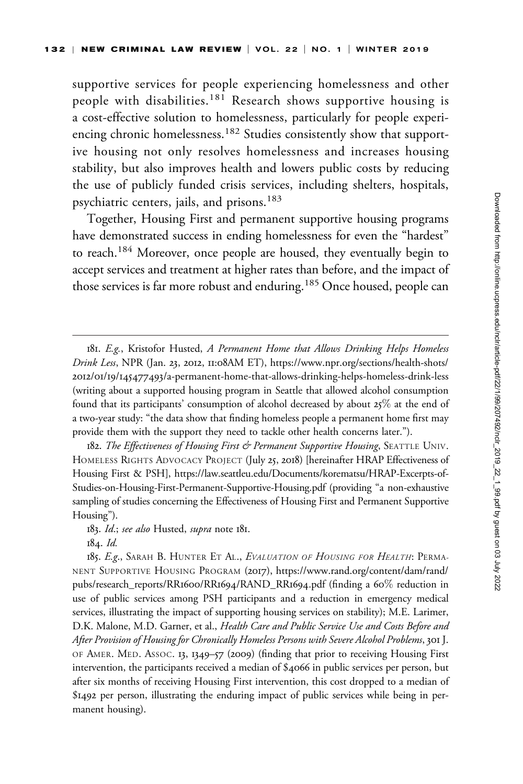supportive services for people experiencing homelessness and other people with disabilities.<sup>181</sup> Research shows supportive housing is a cost-effective solution to homelessness, particularly for people experiencing chronic homelessness.<sup>182</sup> Studies consistently show that supportive housing not only resolves homelessness and increases housing stability, but also improves health and lowers public costs by reducing the use of publicly funded crisis services, including shelters, hospitals, psychiatric centers, jails, and prisons.<sup>183</sup>

Together, Housing First and permanent supportive housing programs have demonstrated success in ending homelessness for even the "hardest" to reach.<sup>184</sup> Moreover, once people are housed, they eventually begin to accept services and treatment at higher rates than before, and the impact of those services is far more robust and enduring.<sup>185</sup> Once housed, people can

182. The Effectiveness of Housing First & Permanent Supportive Housing, SEATTLE UNIV. HOMELESS RIGHTS ADVOCACY PROJECT (July 25, 2018) [hereinafter HRAP Effectiveness of Housing First & PSH], [https://law.seattleu.edu/Documents/korematsu/HRAP-Excerpts-of-](https://law.seattleu.edu/Documents/korematsu/HRAP-Excerpts-of-Studies-on-Housing-First-Permanent-Supportive-Housing.pdf)[Studies-on-Housing-First-Permanent-Supportive-Housing.pdf](https://law.seattleu.edu/Documents/korematsu/HRAP-Excerpts-of-Studies-on-Housing-First-Permanent-Supportive-Housing.pdf) (providing "a non-exhaustive sampling of studies concerning the Effectiveness of Housing First and Permanent Supportive Housing").

184. Id.

185. E.g., SARAH B. HUNTER ET AL., EVALUATION OF HOUSING FOR HEALTH: PERMA-NENT SUPPORTIVE HOUSING PROGRAM (2017), [https://www.rand.org/content/dam/rand/](https://www.rand.org/content/dam/rand/pubs/research_reports/RR1600/RR1694/RAND_RR1694.pdf) [pubs/research\\_reports/RR](https://www.rand.org/content/dam/rand/pubs/research_reports/RR1600/RR1694/RAND_RR1694.pdf)1600/RR1694/RAND\_RR1694.pdf (finding a 60% reduction in use of public services among PSH participants and a reduction in emergency medical services, illustrating the impact of supporting housing services on stability); M.E. Larimer, D.K. Malone, M.D. Garner, et al., Health Care and Public Service Use and Costs Before and After Provision of Housing for Chronically Homeless Persons with Severe Alcohol Problems, 301 J. OF AMER. MED. ASSOC. 13, 1349–57 (2009) (finding that prior to receiving Housing First intervention, the participants received a median of \$4066 in public services per person, but after six months of receiving Housing First intervention, this cost dropped to a median of \$1492 per person, illustrating the enduring impact of public services while being in permanent housing).

<sup>181.</sup> E.g., Kristofor Husted, A Permanent Home that Allows Drinking Helps Homeless Drink Less, NPR (Jan. 23, 2012, 11:08AM ET), [https://www.npr.org/sections/health-shots/](https://www.npr.org/sections/health-shots/2012/01/19/145477493/a-permanent-home-that-allows-drinking-helps-homeless-drink-less) 2012/01/19/145477493[/a-permanent-home-that-allows-drinking-helps-homeless-drink-less](https://www.npr.org/sections/health-shots/2012/01/19/145477493/a-permanent-home-that-allows-drinking-helps-homeless-drink-less) (writing about a supported housing program in Seattle that allowed alcohol consumption found that its participants' consumption of alcohol decreased by about 25% at the end of a two-year study: "the data show that finding homeless people a permanent home first may provide them with the support they need to tackle other health concerns later.").

<sup>183.</sup> Id.; see also Husted, supra note 181.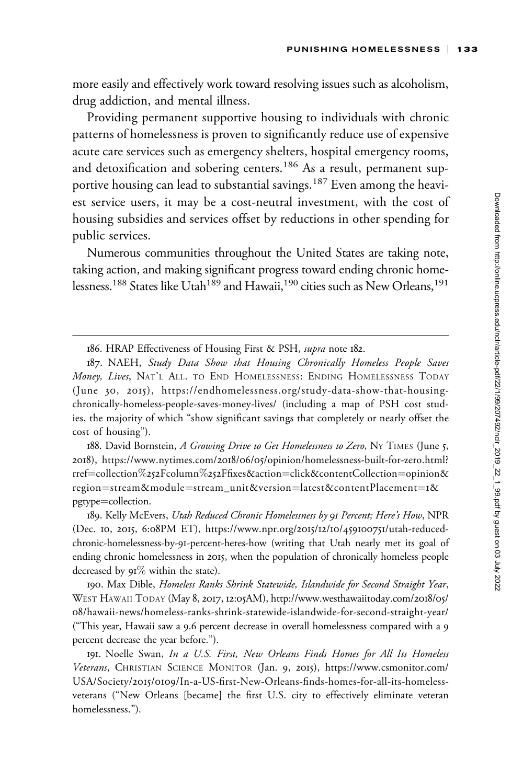more easily and effectively work toward resolving issues such as alcoholism, drug addiction, and mental illness.

Providing permanent supportive housing to individuals with chronic patterns of homelessness is proven to significantly reduce use of expensive acute care services such as emergency shelters, hospital emergency rooms, and detoxification and sobering centers.<sup>186</sup> As a result, permanent supportive housing can lead to substantial savings.<sup>187</sup> Even among the heaviest service users, it may be a cost-neutral investment, with the cost of housing subsidies and services offset by reductions in other spending for public services.

Numerous communities throughout the United States are taking note, taking action, and making significant progress toward ending chronic homelessness.<sup>188</sup> States like Utah<sup>189</sup> and Hawaii,<sup>190</sup> cities such as New Orleans,<sup>191</sup>

<sup>186.</sup> HRAP Effectiveness of Housing First & PSH, supra note 182.

<sup>187.</sup> NAEH, Study Data Show that Housing Chronically Homeless People Saves Money, Lives, NAT'L ALL. TO END HOMELESSNESS: ENDING HOMELESSNESS TODAY (June 30, 2015), [https://endhomelessness.org/study-data-show-that-housing](https://endhomelessness.org/study-data-show-that-housing-chronically-homeless-people-saves-money-lives/)[chronically-homeless-people-saves-money-lives/](https://endhomelessness.org/study-data-show-that-housing-chronically-homeless-people-saves-money-lives/) (including a map of PSH cost studies, the majority of which "show significant savings that completely or nearly offset the cost of housing").

<sup>188.</sup> David Bornstein, A Growing Drive to Get Homelessness to Zero, Ny TIMES (June 5, 2018), https://www.nytimes.com/2018/06/05[/opinion/homelessness-built-for-zero.html?](https://www.nytimes.com/2018/06/05/opinion/homelessness-built-for-zero.html?rref=collection%252Fcolumn%252Ffixes&action=click&contentCollection=opinion®ion=stream&module=stream_unit&version=latest&contentPlacement=1&pgtype=collection) [rref](https://www.nytimes.com/2018/06/05/opinion/homelessness-built-for-zero.html?rref=collection%252Fcolumn%252Ffixes&action=click&contentCollection=opinion®ion=stream&module=stream_unit&version=latest&contentPlacement=1&pgtype=collection)=[collection](https://www.nytimes.com/2018/06/05/opinion/homelessness-built-for-zero.html?rref=collection%252Fcolumn%252Ffixes&action=click&contentCollection=opinion®ion=stream&module=stream_unit&version=latest&contentPlacement=1&pgtype=collection)%252[Fcolumn](https://www.nytimes.com/2018/06/05/opinion/homelessness-built-for-zero.html?rref=collection%252Fcolumn%252Ffixes&action=click&contentCollection=opinion®ion=stream&module=stream_unit&version=latest&contentPlacement=1&pgtype=collection)%252[Ffixes&action](https://www.nytimes.com/2018/06/05/opinion/homelessness-built-for-zero.html?rref=collection%252Fcolumn%252Ffixes&action=click&contentCollection=opinion®ion=stream&module=stream_unit&version=latest&contentPlacement=1&pgtype=collection)=[click&contentCollection](https://www.nytimes.com/2018/06/05/opinion/homelessness-built-for-zero.html?rref=collection%252Fcolumn%252Ffixes&action=click&contentCollection=opinion®ion=stream&module=stream_unit&version=latest&contentPlacement=1&pgtype=collection)=[opinion&](https://www.nytimes.com/2018/06/05/opinion/homelessness-built-for-zero.html?rref=collection%252Fcolumn%252Ffixes&action=click&contentCollection=opinion®ion=stream&module=stream_unit&version=latest&contentPlacement=1&pgtype=collection) [region](https://www.nytimes.com/2018/06/05/opinion/homelessness-built-for-zero.html?rref=collection%252Fcolumn%252Ffixes&action=click&contentCollection=opinion®ion=stream&module=stream_unit&version=latest&contentPlacement=1&pgtype=collection)=[stream&module](https://www.nytimes.com/2018/06/05/opinion/homelessness-built-for-zero.html?rref=collection%252Fcolumn%252Ffixes&action=click&contentCollection=opinion®ion=stream&module=stream_unit&version=latest&contentPlacement=1&pgtype=collection)=[stream\\_unit&version](https://www.nytimes.com/2018/06/05/opinion/homelessness-built-for-zero.html?rref=collection%252Fcolumn%252Ffixes&action=click&contentCollection=opinion®ion=stream&module=stream_unit&version=latest&contentPlacement=1&pgtype=collection)=[latest&contentPlacement](https://www.nytimes.com/2018/06/05/opinion/homelessness-built-for-zero.html?rref=collection%252Fcolumn%252Ffixes&action=click&contentCollection=opinion®ion=stream&module=stream_unit&version=latest&contentPlacement=1&pgtype=collection)=1[&](https://www.nytimes.com/2018/06/05/opinion/homelessness-built-for-zero.html?rref=collection%252Fcolumn%252Ffixes&action=click&contentCollection=opinion®ion=stream&module=stream_unit&version=latest&contentPlacement=1&pgtype=collection) [pgtype](https://www.nytimes.com/2018/06/05/opinion/homelessness-built-for-zero.html?rref=collection%252Fcolumn%252Ffixes&action=click&contentCollection=opinion®ion=stream&module=stream_unit&version=latest&contentPlacement=1&pgtype=collection)=[collection.](https://www.nytimes.com/2018/06/05/opinion/homelessness-built-for-zero.html?rref=collection%252Fcolumn%252Ffixes&action=click&contentCollection=opinion®ion=stream&module=stream_unit&version=latest&contentPlacement=1&pgtype=collection)

<sup>189.</sup> Kelly McEvers, Utah Reduced Chronic Homelessness by 91 Percent; Here's How, NPR (Dec. 10, 2015, 6:08PM ET), [https://www.npr.org/](https://www.npr.org/2015/12/10/459100751/utah-reduced-chronic-homelessness-by-91-percent-heres-how)2015/12/10/459100751/utah-reduced[chronic-homelessness-by-](https://www.npr.org/2015/12/10/459100751/utah-reduced-chronic-homelessness-by-91-percent-heres-how)91-percent-heres-how (writing that Utah nearly met its goal of ending chronic homelessness in 2015, when the population of chronically homeless people decreased by 91% within the state).

<sup>190.</sup> Max Dible, Homeless Ranks Shrink Statewide, Islandwide for Second Straight Year, WEST HAWAII TODAY (May 8, 2017, 12:05AM), [http://www.westhawaiitoday.com/](http://www.westhawaiitoday.com/2018/05/08/hawaii-news/homeless-ranks-shrink-statewide-islandwide-for-second-straight-year/)2018/05/ 08[/hawaii-news/homeless-ranks-shrink-statewide-islandwide-for-second-straight-year/](http://www.westhawaiitoday.com/2018/05/08/hawaii-news/homeless-ranks-shrink-statewide-islandwide-for-second-straight-year/) ("This year, Hawaii saw a 9.6 percent decrease in overall homelessness compared with a 9 percent decrease the year before.").

<sup>191.</sup> Noelle Swan, In a U.S. First, New Orleans Finds Homes for All Its Homeless Veterans, CHRISTIAN SCIENCE MONITOR (Jan. 9, 2015), [https://www.csmonitor.com/](https://www.csmonitor.com/USA/Society/2015/0109/In-a-US-first-New-Orleans-finds-homes-for-all-its-homeless-veterans) USA/Society/2015/0109[/In-a-US-first-New-Orleans-finds-homes-for-all-its-homeless](https://www.csmonitor.com/USA/Society/2015/0109/In-a-US-first-New-Orleans-finds-homes-for-all-its-homeless-veterans)[veterans](https://www.csmonitor.com/USA/Society/2015/0109/In-a-US-first-New-Orleans-finds-homes-for-all-its-homeless-veterans) ("New Orleans [became] the first U.S. city to effectively eliminate veteran homelessness.").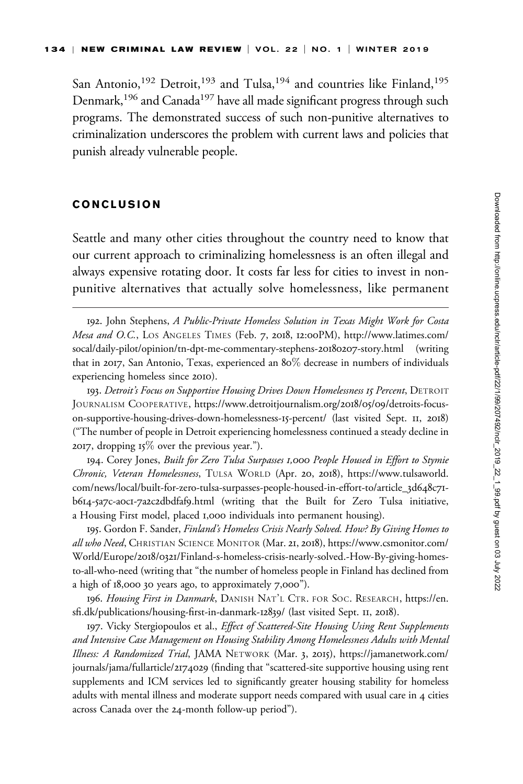San Antonio,<sup>192</sup> Detroit,<sup>193</sup> and Tulsa,<sup>194</sup> and countries like Finland,<sup>195</sup> Denmark,<sup>196</sup> and Canada<sup>197</sup> have all made significant progress through such programs. The demonstrated success of such non-punitive alternatives to criminalization underscores the problem with current laws and policies that punish already vulnerable people.

### CONCLUSION

Seattle and many other cities throughout the country need to know that our current approach to criminalizing homelessness is an often illegal and always expensive rotating door. It costs far less for cities to invest in nonpunitive alternatives that actually solve homelessness, like permanent

193. Detroit's Focus on Supportive Housing Drives Down Homelessness 15 Percent, DETROIT JOURNALISM COOPERATIVE, [https://www.detroitjournalism.org/](https://www.detroitjournalism.org/2018/05/09/detroits-focus-on-supportive-housing-drives-down-homelessness-15-percent/)2018/05/09/detroits-focus[on-supportive-housing-drives-down-homelessness-](https://www.detroitjournalism.org/2018/05/09/detroits-focus-on-supportive-housing-drives-down-homelessness-15-percent/)15-percent/ (last visited Sept. 11, 2018) ("The number of people in Detroit experiencing homelessness continued a steady decline in 2017, dropping  $15\%$  over the previous year.").

194. Corey Jones, Built for Zero Tulsa Surpasses 1,000 People Housed in Effort to Stymie Chronic, Veteran Homelessness, TULSA WORLD (Apr. 20, 2018), [https://www.tulsaworld.](https://www.tulsaworld.com/news/local/built-for-zero-tulsa-surpasses-people-housed-in-effort-to/article_3d648c71-b614-5a7c-a0c1-7a2c2dbdfaf9.html) [com/news/local/built-for-zero-tulsa-surpasses-people-housed-in-effort-to/article\\_](https://www.tulsaworld.com/news/local/built-for-zero-tulsa-surpasses-people-housed-in-effort-to/article_3d648c71-b614-5a7c-a0c1-7a2c2dbdfaf9.html)3d648c71 b614-5a7c-a0c1-7a2c2[dbdfaf](https://www.tulsaworld.com/news/local/built-for-zero-tulsa-surpasses-people-housed-in-effort-to/article_3d648c71-b614-5a7c-a0c1-7a2c2dbdfaf9.html)9.html (writing that the Built for Zero Tulsa initiative, a Housing First model, placed 1,000 individuals into permanent housing).

195. Gordon F. Sander, Finland's Homeless Crisis Nearly Solved. How? By Giving Homes to all who Need, CHRISTIAN SCIENCE MONITOR (Mar. 21, 2018), [https://www.csmonitor.com/](https://www.csmonitor.com/World/Europe/2018/0321/Finland-s-homeless-crisis-nearly-solved.-How-By-giving-homes-to-all-who-need) World/Europe/2018/0321[/Finland-s-homeless-crisis-nearly-solved.-How-By-giving-homes](https://www.csmonitor.com/World/Europe/2018/0321/Finland-s-homeless-crisis-nearly-solved.-How-By-giving-homes-to-all-who-need)[to-all-who-need](https://www.csmonitor.com/World/Europe/2018/0321/Finland-s-homeless-crisis-nearly-solved.-How-By-giving-homes-to-all-who-need) (writing that "the number of homeless people in Finland has declined from a high of 18,000 30 years ago, to approximately 7,000").

196. Housing First in Danmark, DANISH NAT'L CTR. FOR SOC. RESEARCH, [https://en.](https://en.sfi.dk/publications/housing-first-in-danmark-12839/) [sfi.dk/publications/housing-first-in-danmark-](https://en.sfi.dk/publications/housing-first-in-danmark-12839/)12839/ (last visited Sept. 11, 2018).

197. Vicky Stergiopoulos et al., Effect of Scattered-Site Housing Using Rent Supplements and Intensive Case Management on Housing Stability Among Homelessness Adults with Mental Illness: A Randomized Trial, JAMA NETWORK (Mar. 3, 2015), [https://jamanetwork.com/](https://jamanetwork.com/journals/jama/fullarticle/2174029) [journals/jama/fullarticle/](https://jamanetwork.com/journals/jama/fullarticle/2174029)2174029 (finding that "scattered-site supportive housing using rent supplements and ICM services led to significantly greater housing stability for homeless adults with mental illness and moderate support needs compared with usual care in 4 cities across Canada over the 24-month follow-up period").

<sup>192.</sup> John Stephens, A Public-Private Homeless Solution in Texas Might Work for Costa Mesa and O.C., LOS ANGELES TIMES (Feb. 7, 2018, 12:00PM), [http://www.latimes.com/](http://www.latimes.com/socal/daily-pilot/opinion/tn-dpt-me-commentary-stephens-20180207-story.html) [socal/daily-pilot/opinion/tn-dpt-me-commentary-stephens-](http://www.latimes.com/socal/daily-pilot/opinion/tn-dpt-me-commentary-stephens-20180207-story.html)20180207-story.html (writing that in 2017, San Antonio, Texas, experienced an 80% decrease in numbers of individuals experiencing homeless since 2010).